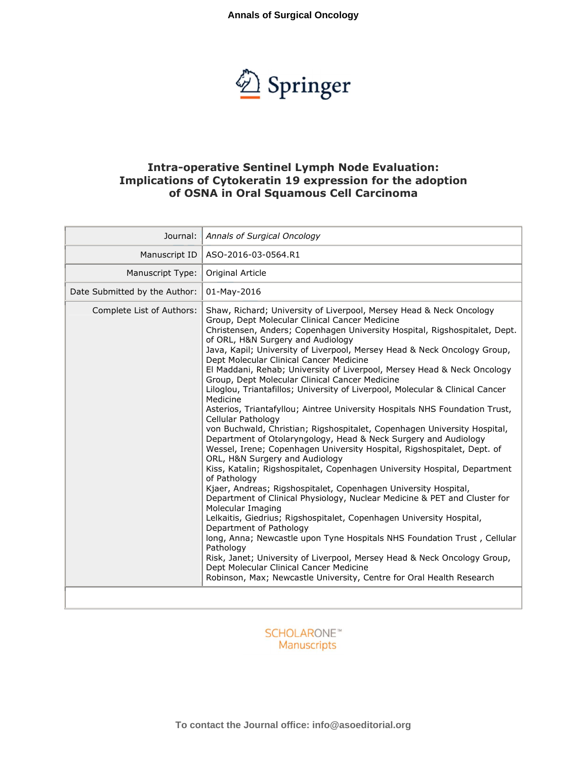

## **Intra -operative Sentinel Lymph Node Evaluation: Implications of Cytokeratin 19 expression for the adoption of OSNA in Oral Squamous Cell Carcinoma**

| Journal:                      | Annals of Surgical Oncology                                                                                                                                                                                                                                                                                                                                                                                                                                                                                                                                                                                                                                                                                                                                                                                                                                                                                                                                                                                                                                                                                                                                                                                                                                                                                                                                                                                                                                                                                                                                                                                             |
|-------------------------------|-------------------------------------------------------------------------------------------------------------------------------------------------------------------------------------------------------------------------------------------------------------------------------------------------------------------------------------------------------------------------------------------------------------------------------------------------------------------------------------------------------------------------------------------------------------------------------------------------------------------------------------------------------------------------------------------------------------------------------------------------------------------------------------------------------------------------------------------------------------------------------------------------------------------------------------------------------------------------------------------------------------------------------------------------------------------------------------------------------------------------------------------------------------------------------------------------------------------------------------------------------------------------------------------------------------------------------------------------------------------------------------------------------------------------------------------------------------------------------------------------------------------------------------------------------------------------------------------------------------------------|
| Manuscript ID                 | ASO-2016-03-0564.R1                                                                                                                                                                                                                                                                                                                                                                                                                                                                                                                                                                                                                                                                                                                                                                                                                                                                                                                                                                                                                                                                                                                                                                                                                                                                                                                                                                                                                                                                                                                                                                                                     |
| Manuscript Type:              | Original Article                                                                                                                                                                                                                                                                                                                                                                                                                                                                                                                                                                                                                                                                                                                                                                                                                                                                                                                                                                                                                                                                                                                                                                                                                                                                                                                                                                                                                                                                                                                                                                                                        |
| Date Submitted by the Author: | 01-May-2016                                                                                                                                                                                                                                                                                                                                                                                                                                                                                                                                                                                                                                                                                                                                                                                                                                                                                                                                                                                                                                                                                                                                                                                                                                                                                                                                                                                                                                                                                                                                                                                                             |
| Complete List of Authors:     | Shaw, Richard; University of Liverpool, Mersey Head & Neck Oncology<br>Group, Dept Molecular Clinical Cancer Medicine<br>Christensen, Anders; Copenhagen University Hospital, Rigshospitalet, Dept.<br>of ORL, H&N Surgery and Audiology<br>Java, Kapil; University of Liverpool, Mersey Head & Neck Oncology Group,<br>Dept Molecular Clinical Cancer Medicine<br>El Maddani, Rehab; University of Liverpool, Mersey Head & Neck Oncology<br>Group, Dept Molecular Clinical Cancer Medicine<br>Liloglou, Triantafillos; University of Liverpool, Molecular & Clinical Cancer<br>Medicine<br>Asterios, Triantafyllou; Aintree University Hospitals NHS Foundation Trust,<br>Cellular Pathology<br>von Buchwald, Christian; Rigshospitalet, Copenhagen University Hospital,<br>Department of Otolaryngology, Head & Neck Surgery and Audiology<br>Wessel, Irene; Copenhagen University Hospital, Rigshospitalet, Dept. of<br>ORL, H&N Surgery and Audiology<br>Kiss, Katalin; Rigshospitalet, Copenhagen University Hospital, Department<br>of Pathology<br>Kjaer, Andreas; Rigshospitalet, Copenhagen University Hospital,<br>Department of Clinical Physiology, Nuclear Medicine & PET and Cluster for<br>Molecular Imaging<br>Lelkaitis, Giedrius; Rigshospitalet, Copenhagen University Hospital,<br>Department of Pathology<br>long, Anna; Newcastle upon Tyne Hospitals NHS Foundation Trust, Cellular<br>Pathology<br>Risk, Janet; University of Liverpool, Mersey Head & Neck Oncology Group,<br>Dept Molecular Clinical Cancer Medicine<br>Robinson, Max; Newcastle University, Centre for Oral Health Research |
|                               |                                                                                                                                                                                                                                                                                                                                                                                                                                                                                                                                                                                                                                                                                                                                                                                                                                                                                                                                                                                                                                                                                                                                                                                                                                                                                                                                                                                                                                                                                                                                                                                                                         |

**SCHOLARONE**™ Manuscripts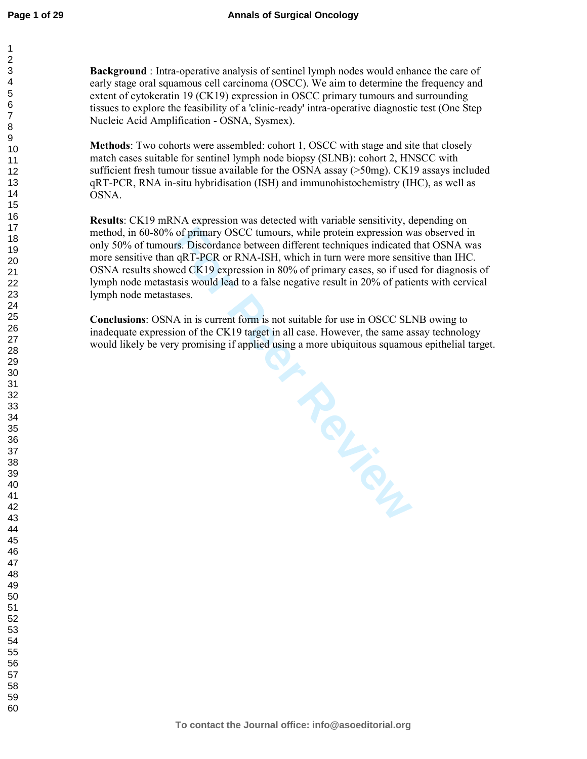**Background** : Intra-operative analysis of sentinel lymph nodes would enhance the care of early stage oral squamous cell carcinoma (OSCC). We aim to determine the frequency and extent of cytokeratin 19 (CK19) expression in OSCC primary tumours and surrounding tissues to explore the feasibility of a 'clinic-ready' intra-operative diagnostic test (One Step Nucleic Acid Amplification - OSNA, Sysmex).

**Methods**: Two cohorts were assembled: cohort 1, OSCC with stage and site that closely match cases suitable for sentinel lymph node biopsy (SLNB): cohort 2, HNSCC with sufficient fresh tumour tissue available for the OSNA assay (>50mg). CK19 assays included qRT-PCR, RNA in-situ hybridisation (ISH) and immunohistochemistry (IHC), as well as OSNA.

**Results**: CK19 mRNA expression was detected with variable sensitivity, depending on method, in 60-80% of primary OSCC tumours, while protein expression was observed in only 50% of tumours. Discordance between different techniques indicated that OSNA was more sensitive than qRT-PCR or RNA-ISH, which in turn were more sensitive than IHC. OSNA results showed CK19 expression in 80% of primary cases, so if used for diagnosis of lymph node metastasis would lead to a false negative result in 20% of patients with cervical lymph node metastases.

**PRINCE Conclusions**: OSNA in is current form is not suitable for use in OSCC SLNB owing to inadequate expression of the CK19 target in all case. However, the same assay technology would likely be very promising if applied using a more ubiquitous squamous epithelial target.

**To contact the Journal office: info@asoeditorial.org**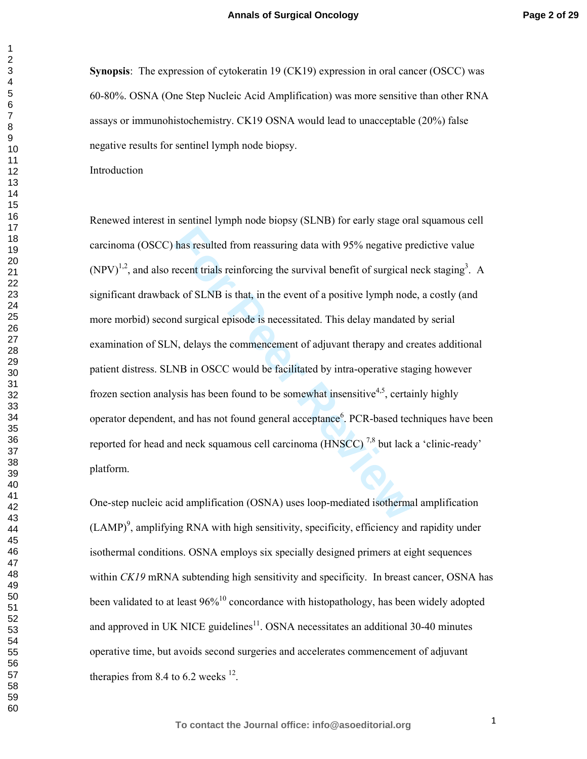**Synopsis**: The expression of cytokeratin 19 (CK19) expression in oral cancer (OSCC) was 60-80%. OSNA (One Step Nucleic Acid Amplification) was more sensitive than other RNA assays or immunohistochemistry. CK19 OSNA would lead to unacceptable (20%) false negative results for sentinel lymph node biopsy.

Introduction

has resulted from reassuring data with 95% negative precent trials reinforcing the survival benefit of surgical r<br>k of SLNB is that, in the event of a positive lymph nod<br>ad surgical episode is necessitated. This delay mand Renewed interest in sentinel lymph node biopsy (SLNB) for early stage oral squamous cell carcinoma (OSCC) has resulted from reassuring data with 95% negative predictive value  $(NPV)^{1,2}$ , and also recent trials reinforcing the survival benefit of surgical neck staging<sup>3</sup>. A significant drawback of SLNB is that, in the event of a positive lymph node, a costly (and more morbid) second surgical episode is necessitated. This delay mandated by serial examination of SLN, delays the commencement of adjuvant therapy and creates additional patient distress. SLNB in OSCC would be facilitated by intra-operative staging however frozen section analysis has been found to be somewhat insensitive<sup>4,5</sup>, certainly highly operator dependent, and has not found general acceptance<sup>6</sup>. PCR-based techniques have been reported for head and neck squamous cell carcinoma ( $HNSCC$ )<sup>7,8</sup> but lack a 'clinic-ready' platform.

One-step nucleic acid amplification (OSNA) uses loop-mediated isothermal amplification (LAMP) 9 , amplifying RNA with high sensitivity, specificity, efficiency and rapidity under isothermal conditions. OSNA employs six specially designed primers at eight sequences within *CK19* mRNA subtending high sensitivity and specificity. In breast cancer, OSNA has been validated to at least  $96\%^{10}$  concordance with histopathology, has been widely adopted and approved in UK NICE guidelines<sup>11</sup>. OSNA necessitates an additional 30-40 minutes operative time, but avoids second surgeries and accelerates commencement of adjuvant therapies from 8.4 to 6.2 weeks  $^{12}$ .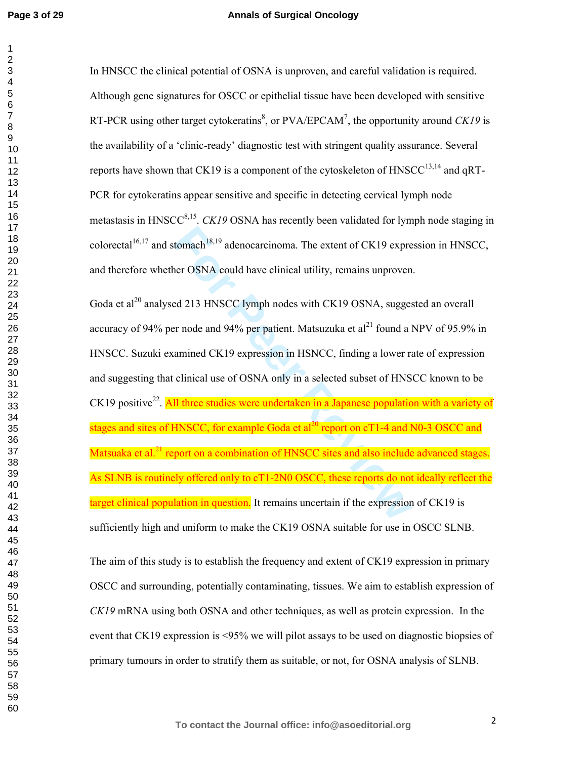$\mathbf{1}$ 

#### **Annals of Surgical Oncology**

In HNSCC the clinical potential of OSNA is unproven, and careful validation is required. Although gene signatures for OSCC or epithelial tissue have been developed with sensitive RT-PCR using other target cytokeratins<sup>8</sup>, or PVA/EPCAM<sup>7</sup>, the opportunity around *CK19* is the availability of a 'clinic-ready' diagnostic test with stringent quality assurance. Several reports have shown that CK19 is a component of the cytoskeleton of  $HNSCC^{13,14}$  and  $dRT$ -PCR for cytokeratins appear sensitive and specific in detecting cervical lymph node metastasis in HNSCC<sup>8,15</sup>. *CK19* OSNA has recently been validated for lymph node staging in colorectal<sup>16,17</sup> and stomach<sup>18,19</sup> adenocarcinoma. The extent of CK19 expression in HNSCC, and therefore whether OSNA could have clinical utility, remains unproven.

tomach<sup>18,19</sup> adenocarcinoma. The extent of CK19 expresence OSNA could have clinical utility, remains unproven ed 213 HNSCC lymph nodes with CK19 OSNA, suggest r node and 94% per patient. Matsuzuka et al<sup>21</sup> found a lamine Goda et al<sup>20</sup> analysed 213 HNSCC lymph nodes with CK19 OSNA, suggested an overall accuracy of 94% per node and 94% per patient. Matsuzuka et  $al<sup>21</sup>$  found a NPV of 95.9% in HNSCC. Suzuki examined CK19 expression in HSNCC, finding a lower rate of expression and suggesting that clinical use of OSNA only in a selected subset of HNSCC known to be  $CK19$  positive<sup>22</sup>. All three studies were undertaken in a Japanese population with a variety of stages and sites of HNSCC, for example Goda et al<sup>20</sup> report on cT1-4 and N0-3 OSCC and Matsuaka et al.<sup>21</sup> report on a combination of HNSCC sites and also include advanced stages. As SLNB is routinely offered only to cT1-2N0 OSCC, these reports do not ideally reflect the target clinical population in question. It remains uncertain if the expression of CK19 is sufficiently high and uniform to make the CK19 OSNA suitable for use in OSCC SLNB.

The aim of this study is to establish the frequency and extent of CK19 expression in primary OSCC and surrounding, potentially contaminating, tissues. We aim to establish expression of *CK19* mRNA using both OSNA and other techniques, as well as protein expression. In the event that CK19 expression is <95% we will pilot assays to be used on diagnostic biopsies of primary tumours in order to stratify them as suitable, or not, for OSNA analysis of SLNB.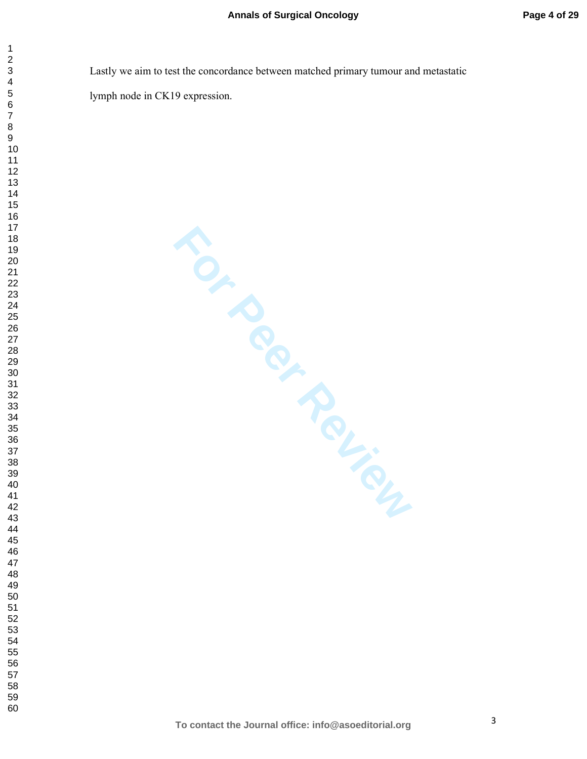Lastly we aim to test the concordance between matched primary tumour and metastatic lymph node in CK19 expression.

 $\mathbf{1}$  $\overline{2}$  $\overline{4}$  $\overline{7}$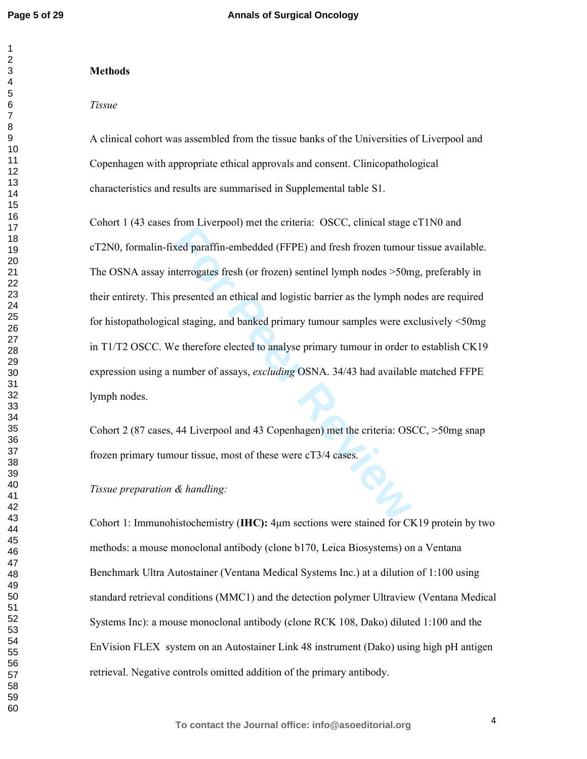$\mathbf{1}$ 

### **Methods**

## *Tissue*

A clinical cohort was assembled from the tissue banks of the Universities of Liverpool and Copenhagen with appropriate ethical approvals and consent. Clinicopathological characteristics and results are summarised in Supplemental table S1.

**Example 2018** (FFPE) and fresh frozen tumous<br>terrogates fresh (or frozen) sentinel lymph nodes >50m<br>presented an ethical and logistic barrier as the lymph no<br>al staging, and banked primary tumour samples were ex<br>e therefo Cohort 1 (43 cases from Liverpool) met the criteria: OSCC, clinical stage cT1N0 and cT2N0, formalin-fixed paraffin-embedded (FFPE) and fresh frozen tumour tissue available. The OSNA assay interrogates fresh (or frozen) sentinel lymph nodes >50mg, preferably in their entirety. This presented an ethical and logistic barrier as the lymph nodes are required for histopathological staging, and banked primary tumour samples were exclusively <50mg in T1/T2 OSCC. We therefore elected to analyse primary tumour in order to establish CK19 expression using a number of assays, *excluding* OSNA. 34/43 had available matched FFPE lymph nodes.

Cohort 2 (87 cases, 44 Liverpool and 43 Copenhagen) met the criteria: OSCC, >50mg snap frozen primary tumour tissue, most of these were cT3/4 cases.

### *Tissue preparation & handling:*

Cohort 1: Immunohistochemistry (**IHC):** 4µm sections were stained for CK19 protein by two methods: a mouse monoclonal antibody (clone b170, Leica Biosystems) on a Ventana Benchmark Ultra Autostainer (Ventana Medical Systems Inc.) at a dilution of 1:100 using standard retrieval conditions (MMC1) and the detection polymer Ultraview (Ventana Medical Systems Inc): a mouse monoclonal antibody (clone RCK 108, Dako) diluted 1:100 and the EnVision FLEX system on an Autostainer Link 48 instrument (Dako) using high pH antigen retrieval. Negative controls omitted addition of the primary antibody.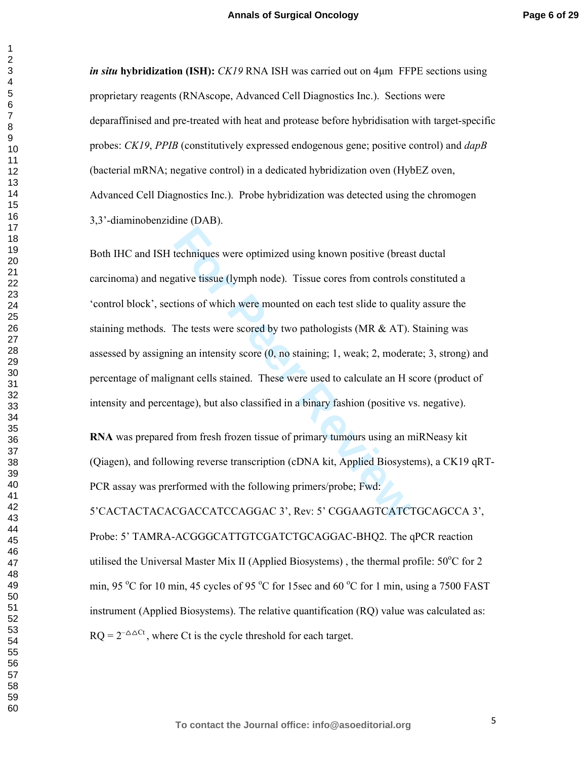*in situ* **hybridization (ISH):** *CK19* RNA ISH was carried out on 4µm FFPE sections using proprietary reagents (RNAscope, Advanced Cell Diagnostics Inc.). Sections were deparaffinised and pre-treated with heat and protease before hybridisation with target-specific probes: *CK19*, *PPIB* (constitutively expressed endogenous gene; positive control) and *dapB* (bacterial mRNA; negative control) in a dedicated hybridization oven (HybEZ oven, Advanced Cell Diagnostics Inc.). Probe hybridization was detected using the chromogen 3,3'-diaminobenzidine (DAB).

**Example 18 Example 10 Example 10 Example 10 Example 10 EGACCATCCAGGAC 3<sup>7</sup>, Rev: 5<sup>7</sup> CGACCATCCAGGAC 3<sup>7</sup>, Rev: 5<sup>7</sup> CGACCATCCAGGAC 3<sup>7</sup>, Rev: 5<sup>7</sup> CGACCATCATCTCACGACCATCCAGGAC 3<sup>7</sup>, Rev: 5<sup>7</sup> CGGAAGTCATCTCACGACCATCCAGGAC** Both IHC and ISH techniques were optimized using known positive (breast ductal carcinoma) and negative tissue (lymph node). Tissue cores from controls constituted a 'control block', sections of which were mounted on each test slide to quality assure the staining methods. The tests were scored by two pathologists (MR  $\&$  AT). Staining was assessed by assigning an intensity score (0, no staining; 1, weak; 2, moderate; 3, strong) and percentage of malignant cells stained. These were used to calculate an H score (product of intensity and percentage), but also classified in a binary fashion (positive vs. negative).

**RNA** was prepared from fresh frozen tissue of primary tumours using an miRNeasy kit (Qiagen), and following reverse transcription (cDNA kit, Applied Biosystems), a CK19 qRT-PCR assay was prerformed with the following primers/probe; Fwd:

5'CACTACTACACGACCATCCAGGAC 3', Rev: 5' CGGAAGTCATCTGCAGCCA 3', Probe: 5' TAMRA-ACGGGCATTGTCGATCTGCAGGAC-BHQ2. The qPCR reaction utilised the Universal Master Mix II (Applied Biosystems), the thermal profile:  $50^{\circ}$ C for 2 min, 95 °C for 10 min, 45 cycles of 95 °C for 15sec and 60 °C for 1 min, using a 7500 FAST instrument (Applied Biosystems). The relative quantification (RQ) value was calculated as:  $RQ = 2^{-\Delta\Delta Ct}$ , where Ct is the cycle threshold for each target.

 $\mathbf{1}$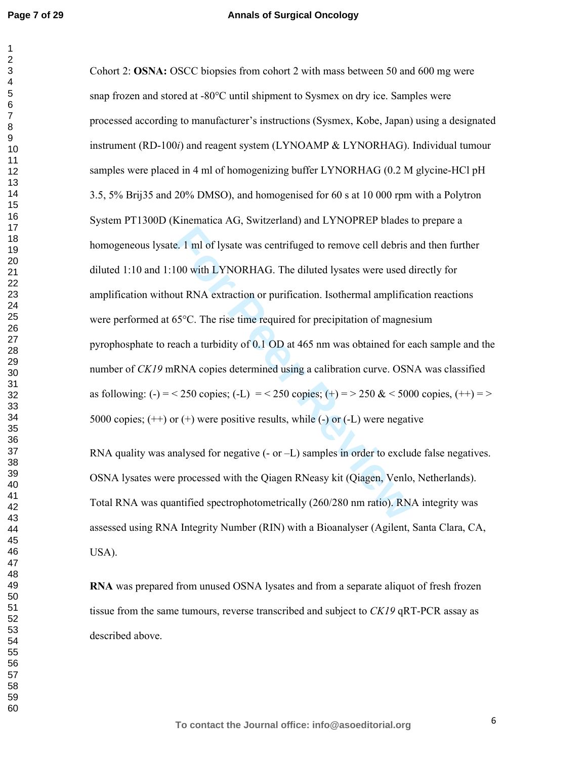$\mathbf{1}$ 

#### **Annals of Surgical Oncology**

**For Properties All and Set All and Set All and Set All and Set All and Set All and Set All and Set All and Set All and Set 250 C. The rise time required for precipitation of magness 65°C. The rise time required for preci** Cohort 2: **OSNA:** OSCC biopsies from cohort 2 with mass between 50 and 600 mg were snap frozen and stored at -80°C until shipment to Sysmex on dry ice. Samples were processed according to manufacturer's instructions (Sysmex, Kobe, Japan) using a designated instrument (RD-100 *i*) and reagent system (LYNOAMP & LYNORHAG). Individual tumour samples were placed in 4 ml of homogenizing buffer LYNORHAG (0.2 M glycine-HCl pH 3.5, 5% Brij35 and 20% DMSO), and homogenised for 60 s at 10 000 rpm with a Polytron System PT1300D (Kinematica AG, Switzerland) and LYNOPREP blades to prepare a homogeneous lysate. 1 ml of lysate was centrifuged to remove cell debris and then further diluted 1:10 and 1:100 with LYNORHAG. The diluted lysates were used directly for amplification without RNA extraction or purification. Isothermal amplification reactions were performed at 65°C. The rise time required for precipitation of magnesium pyrophosphate to reach a turbidity of 0.1 OD at 465 nm was obtained for each sample and the number of *CK19* mRNA copies determined using a calibration curve. OSNA was classified as following: (-) = < 250 copies; (-L) = < 250 copies; (+) = > 250 & < 5000 copies, (++) = > 5000 copies;  $(+)$  or  $(+)$  were positive results, while  $(-)$  or  $(-)$  were negative

RNA quality was analysed for negative (- or -L) samples in order to exclude false negatives. OSNA lysates were processed with the Qiagen RNeasy kit (Qiagen, Venlo, Netherlands). Total RNA was quantified spectrophotometrically (260/280 nm ratio). RNA integrity was assessed using RNA Integrity Number (RIN) with a Bioanalyser (Agilent, Santa Clara, CA, USA).

**RNA** was prepared from unused OSNA lysates and from a separate aliquot of fresh frozen tissue from the same tumours, reverse transcribed and subject to *CK19* qRT-PCR assay as described above.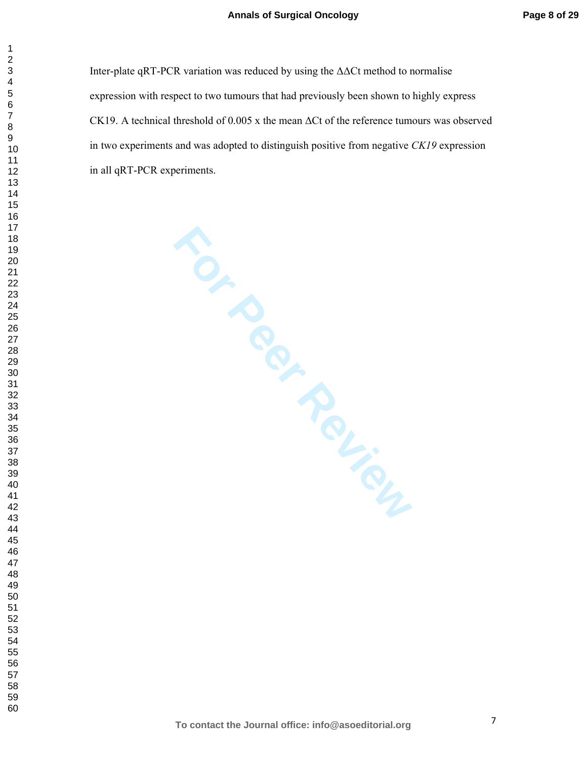Inter-plate qRT-PCR variation was reduced by using the ∆∆Ct method to normalise expression with respect to two tumours that had previously been shown to highly express CK19. A technical threshold of 0.005 x the mean ∆Ct of the reference tumours was observed in two experiments and was adopted to distinguish positive from negative *CK19* expression in all qRT-PCR experiments.

 $\mathbf{1}$  $\overline{2}$  $\overline{\mathbf{4}}$  $\overline{7}$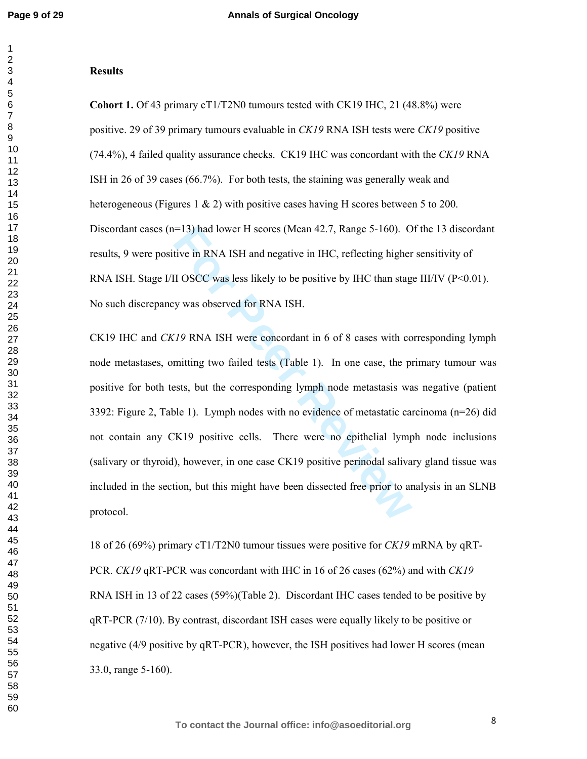$\mathbf{1}$ 

#### **Results**

**Cohort 1.** Of 43 primary cT1/T2N0 tumours tested with CK19 IHC, 21 (48.8%) were positive. 29 of 39 primary tumours evaluable in *CK19* RNA ISH tests were *CK19* positive (74.4%), 4 failed quality assurance checks. CK19 IHC was concordant with the *CK19* RNA ISH in 26 of 39 cases (66.7%). For both tests, the staining was generally weak and heterogeneous (Figures 1 & 2) with positive cases having H scores between 5 to 200. Discordant cases (n=13) had lower H scores (Mean 42.7, Range 5-160). Of the 13 discordant results, 9 were positive in RNA ISH and negative in IHC, reflecting higher sensitivity of RNA ISH. Stage I/II OSCC was less likely to be positive by IHC than stage III/IV (P<0.01). No such discrepancy was observed for RNA ISH.

For Fig. 2013) had lower H scores (Mean 42.7, Range 5-160). On<br>tive in RNA ISH and negative in IHC, reflecting higher<br>II OSCC was less likely to be positive by IHC than stag<br>y was observed for RNA ISH.<br>The positive by IHC CK19 IHC and *CK19* RNA ISH were concordant in 6 of 8 cases with corresponding lymph node metastases, omitting two failed tests (Table 1). In one case, the primary tumour was positive for both tests, but the corresponding lymph node metastasis was negative (patient 3392: Figure 2, Table 1). Lymph nodes with no evidence of metastatic carcinoma (n=26) did not contain any CK19 positive cells. There were no epithelial lymph node inclusions (salivary or thyroid), however, in one case CK19 positive perinodal salivary gland tissue was included in the section, but this might have been dissected free prior to analysis in an SLNB protocol.

18 of 26 (69%) primary cT1/T2N0 tumour tissues were positive for *CK19* mRNA by qRT-PCR. *CK19* qRT-PCR was concordant with IHC in 16 of 26 cases (62%) and with *CK19* RNA ISH in 13 of 22 cases (59%)(Table 2). Discordant IHC cases tended to be positive by qRT-PCR (7/10). By contrast, discordant ISH cases were equally likely to be positive or negative (4/9 positive by qRT-PCR), however, the ISH positives had lower H scores (mean 33.0, range 5-160).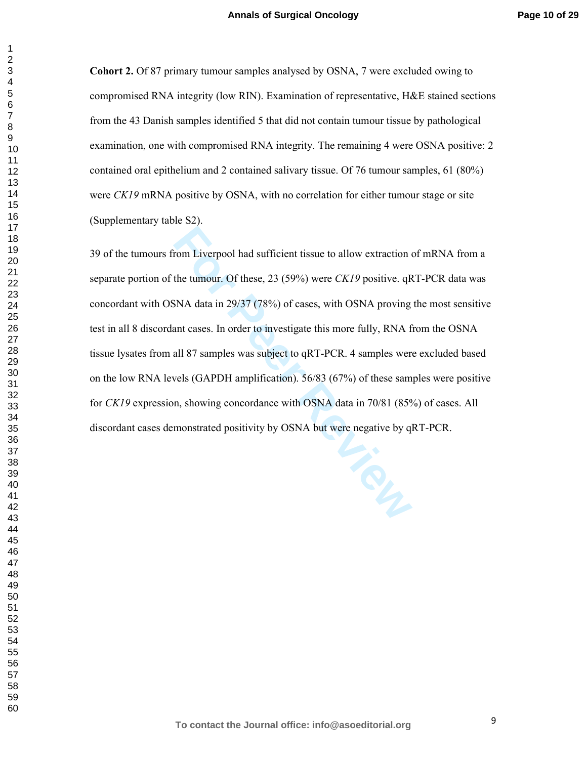**Cohort 2.** Of 87 primary tumour samples analysed by OSNA, 7 were excluded owing to compromised RNA integrity (low RIN). Examination of representative, H&E stained sections from the 43 Danish samples identified 5 that did not contain tumour tissue by pathological examination, one with compromised RNA integrity. The remaining 4 were OSNA positive: 2 contained oral epithelium and 2 contained salivary tissue. Of 76 tumour samples, 61 (80%) were *CK19* mRNA positive by OSNA, with no correlation for either tumour stage or site (Supplementary table S2).

From Liverpool had sufficient tissue to allow extraction of<br>the tumour. Of these, 23 (59%) were *CK19* positive. qR<br>SNA data in 29/37 (78%) of cases, with OSNA proving<br>ant cases. In order to investigate this more fully, RN 39 of the tumours from Liverpool had sufficient tissue to allow extraction of mRNA from a separate portion of the tumour. Of these, 23 (59%) were *CK19* positive. qRT-PCR data was concordant with OSNA data in 29/37 (78%) of cases, with OSNA proving the most sensitive test in all 8 discordant cases. In order to investigate this more fully, RNA from the OSNA tissue lysates from all 87 samples was subject to qRT-PCR. 4 samples were excluded based on the low RNA levels (GAPDH amplification). 56/83 (67%) of these samples were positive for *CK19* expression, showing concordance with OSNA data in 70/81 (85%) of cases. All discordant cases demonstrated positivity by OSNA but were negative by qRT-PCR.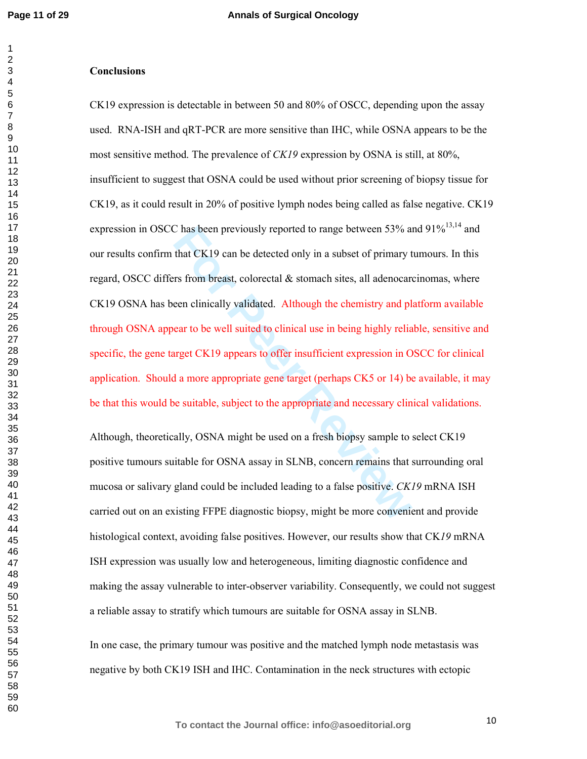#### $\mathbf{1}$   $\overline{2}$

#### **Conclusions**

C has been previously reported to range between 53% as<br>that CK19 can be detected only in a subset of primary t<br>rs from breast, colorectal & stomach sites, all adenocare<br>een clinically validated. Although the chemistry and CK19 expression is detectable in between 50 and 80% of OSCC, depending upon the assay used. RNA-ISH and qRT-PCR are more sensitive than IHC, while OSNA appears to be the most sensitive method. The prevalence of *CK19* expression by OSNA is still, at 80%, insufficient to suggest that OSNA could be used without prior screening of biopsy tissue for CK19, as it could result in 20% of positive lymph nodes being called as false negative. CK19 expression in OSCC has been previously reported to range between 53% and 91%<sup>13,14</sup> and our results confirm that CK19 can be detected only in a subset of primary tumours. In this regard, OSCC differs from breast, colorectal & stomach sites, all adenocarcinomas, where CK19 OSNA has been clinically validated. Although the chemistry and platform available through OSNA appear to be well suited to clinical use in being highly reliable, sensitive and specific, the gene target CK19 appears to offer insufficient expression in OSCC for clinical application. Should a more appropriate gene target (perhaps CK5 or 14) be available, it may be that this would be suitable, subject to the appropriate and necessary clinical validations.

Although, theoretically, OSNA might be used on a fresh biopsy sample to select CK19 positive tumours suitable for OSNA assay in SLNB, concern remains that surrounding oral mucosa or salivary gland could be included leading to a false positive. *CK19* mRNA ISH carried out on an existing FFPE diagnostic biopsy, might be more convenient and provide histological context, avoiding false positives. However, our results show that CK*19* mRNA ISH expression was usually low and heterogeneous, limiting diagnostic confidence and making the assay vulnerable to inter-observer variability. Consequently, we could not suggest a reliable assay to stratify which tumours are suitable for OSNA assay in SLNB.

In one case, the primary tumour was positive and the matched lymph node metastasis was negative by both CK19 ISH and IHC. Contamination in the neck structures with ectopic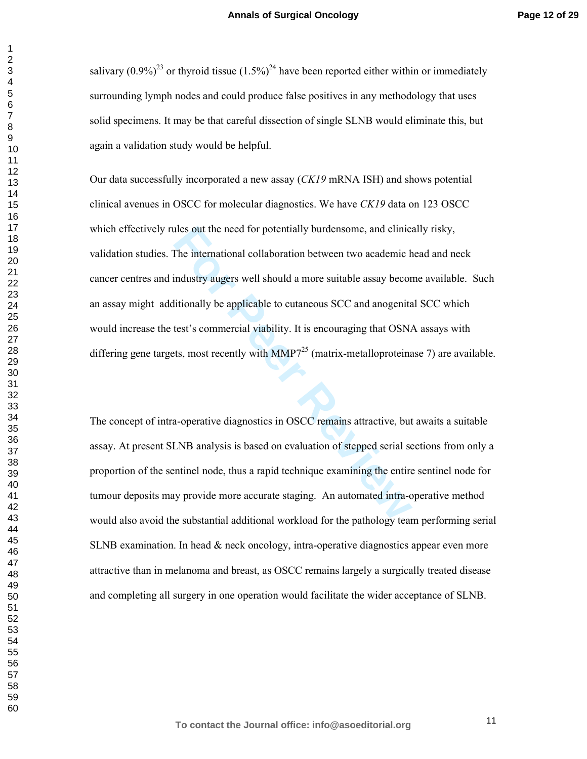salivary  $(0.9\%)^{23}$  or thyroid tissue  $(1.5\%)^{24}$  have been reported either within or immediately surrounding lymph nodes and could produce false positives in any methodology that uses solid specimens. It may be that careful dissection of single SLNB would eliminate this, but again a validation study would be helpful.

readed for potentially burdensome, and clinical<br>The international collaboration between two academic h<br>industry augers well should a more suitable assay becor<br>itionally be applicable to cutaneous SCC and anogenita<br>test's c Our data successfully incorporated a new assay (*CK19* mRNA ISH) and shows potential clinical avenues in OSCC for molecular diagnostics. We have *CK19* data on 123 OSCC which effectively rules out the need for potentially burdensome, and clinically risky, validation studies. The international collaboration between two academic head and neck cancer centres and industry augers well should a more suitable assay become available. Such an assay might additionally be applicable to cutaneous SCC and anogenital SCC which would increase the test's commercial viability. It is encouraging that OSNA assays with differing gene targets, most recently with  $MMP7^{25}$  (matrix-metalloproteinase 7) are available.

The concept of intra-operative diagnostics in OSCC remains attractive, but awaits a suitable assay. At present SLNB analysis is based on evaluation of stepped serial sections from only a proportion of the sentinel node, thus a rapid technique examining the entire sentinel node for tumour deposits may provide more accurate staging. An automated intra-operative method would also avoid the substantial additional workload for the pathology team performing serial SLNB examination. In head  $\&$  neck oncology, intra-operative diagnostics appear even more attractive than in melanoma and breast, as OSCC remains largely a surgically treated disease and completing all surgery in one operation would facilitate the wider acceptance of SLNB.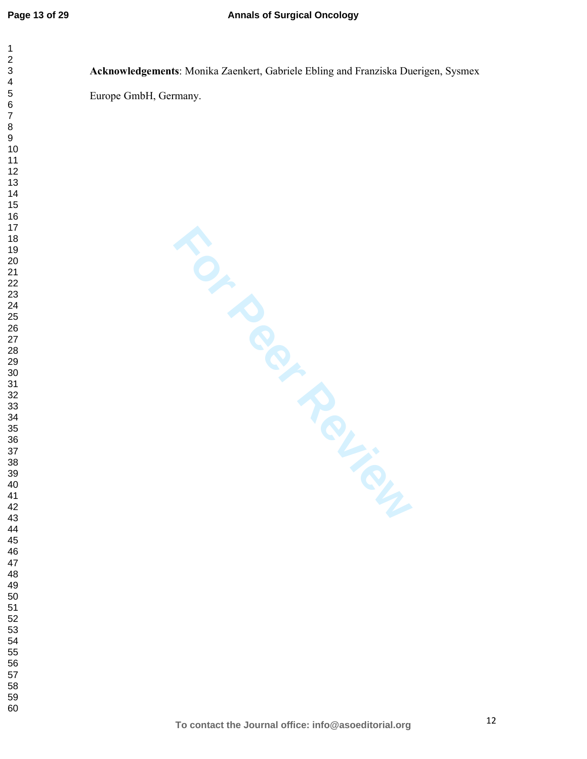**Acknowledgements**: Monika Zaenkert, Gabriele Ebling and Franziska Duerigen, Sysmex Europe GmbH, Germany.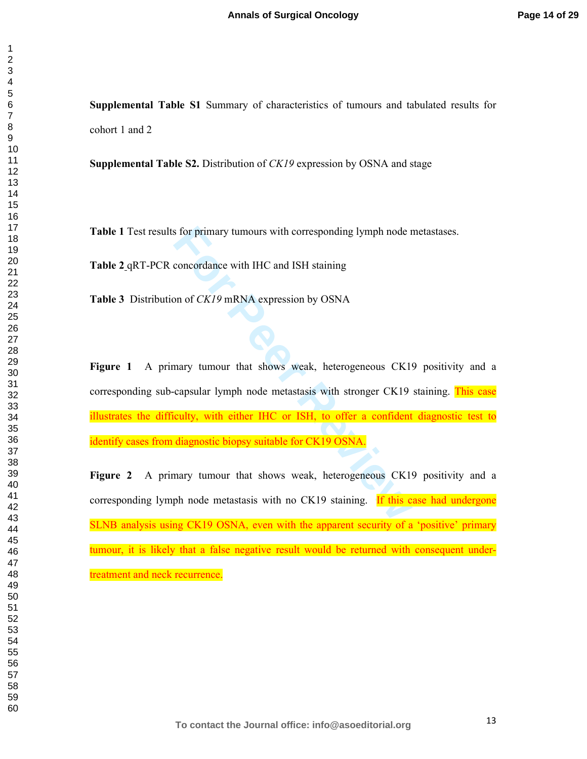**Supplemental Table S1** Summary of characteristics of tumours and tabulated results for cohort 1 and 2

**Supplemental Table S2.** Distribution of *CK19* expression by OSNA and stage

**Table 1** Test results for primary tumours with corresponding lymph node metastases.

**Table 2** qRT-PCR concordance with IHC and ISH staining

**Table 3** Distribution of *CK19* mRNA expression by OSNA

**For Primary tumours with corresponding lymph node r**<br> **For Perrom CONTA CONTA CONTA CONTA CONTA CONTA CONTA CONTA CONTA CONTA CONTA CONTA CONTA CONTA CONTA CONTA CONTA CONTA CONTA CONTA CONTA CONTA CONTA CONTA CONTA CONTA Figure 1** A primary tumour that shows weak, heterogeneous CK19 positivity and a corresponding sub-capsular lymph node metastasis with stronger CK19 staining. This case illustrates the difficulty, with either IHC or ISH, to offer a confident diagnostic test to identify cases from diagnostic biopsy suitable for CK19 OSNA.

**Figure 2** A primary tumour that shows weak, heterogeneous CK19 positivity and a corresponding lymph node metastasis with no CK19 staining. If this case had undergone SLNB analysis using CK19 OSNA, even with the apparent security of a 'positive' primary tumour, it is likely that a false negative result would be returned with consequent undertreatment and neck recurrence.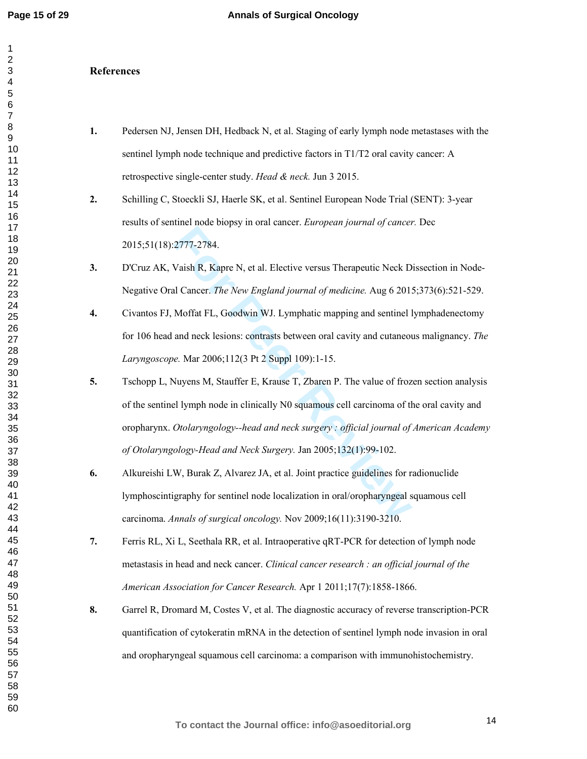#### **References**

- **1.** Pedersen NJ, Jensen DH, Hedback N, et al. Staging of early lymph node metastases with the sentinel lymph node technique and predictive factors in T1/T2 oral cavity cancer: A retrospective single-center study. *Head & neck.* Jun 3 2015.
- **2.** Schilling C, Stoeckli SJ, Haerle SK, et al. Sentinel European Node Trial (SENT): 3-year results of sentinel node biopsy in oral cancer. *European journal of cancer.* Dec 2015;51(18):2777-2784.
- **3.** D'Cruz AK, Vaish R, Kapre N, et al. Elective versus Therapeutic Neck Dissection in Node-Negative Oral Cancer. *The New England journal of medicine.* Aug 6 2015;373(6):521-529.
- **4.** Civantos FJ, Moffat FL, Goodwin WJ. Lymphatic mapping and sentinel lymphadenectomy for 106 head and neck lesions: contrasts between oral cavity and cutaneous malignancy. *The Laryngoscope.* Mar 2006;112(3 Pt 2 Suppl 109):1-15.
- 2777-2784.<br>
Vaish R, Kapre N, et al. Elective versus Therapeutic Neck D<br>
Il Cancer. *The New England journal of medicine*. Aug 6 201:<br>
Moffat FL, Goodwin WJ. Lymphatic mapping and sentinel I<br>
and neck lesions: contrasts be **5.** Tschopp L, Nuyens M, Stauffer E, Krause T, Zbaren P. The value of frozen section analysis of the sentinel lymph node in clinically N0 squamous cell carcinoma of the oral cavity and oropharynx. *Otolaryngology--head and neck surgery : official journal of American Academy of Otolaryngology-Head and Neck Surgery.* Jan 2005;132(1):99-102.
- **6.** Alkureishi LW, Burak Z, Alvarez JA, et al. Joint practice guidelines for radionuclide lymphoscintigraphy for sentinel node localization in oral/oropharyngeal squamous cell carcinoma. *Annals of surgical oncology.* Nov 2009;16(11):3190-3210.
- **7.** Ferris RL, Xi L, Seethala RR, et al. Intraoperative qRT-PCR for detection of lymph node metastasis in head and neck cancer. *Clinical cancer research : an official journal of the American Association for Cancer Research.* Apr 1 2011;17(7):1858-1866.
- **8.** Garrel R, Dromard M, Costes V, et al. The diagnostic accuracy of reverse transcription-PCR quantification of cytokeratin mRNA in the detection of sentinel lymph node invasion in oral and oropharyngeal squamous cell carcinoma: a comparison with immunohistochemistry.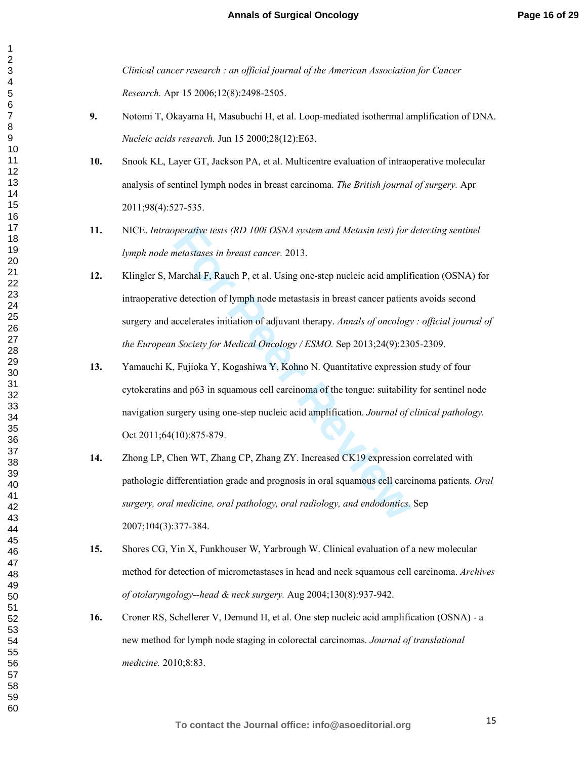*Clinical cancer research : an official journal of the American Association for Cancer Research.* Apr 15 2006;12(8):2498-2505.

- **9.** Notomi T, Okayama H, Masubuchi H, et al. Loop-mediated isothermal amplification of DNA. *Nucleic acids research.* Jun 15 2000;28(12):E63.
- **10.** Snook KL, Layer GT, Jackson PA, et al. Multicentre evaluation of intraoperative molecular analysis of sentinel lymph nodes in breast carcinoma. *The British journal of surgery.* Apr 2011;98(4):527-535.
- **11.** NICE. *Intraoperative tests (RD 100i OSNA system and Metasin test) for detecting sentinel lymph node metastases in breast cancer.* 2013.
- **12.** Klingler S, Marchal F, Rauch P, et al. Using one-step nucleic acid amplification (OSNA) for intraoperative detection of lymph node metastasis in breast cancer patients avoids second surgery and accelerates initiation of adjuvant therapy. *Annals of oncology : official journal of the European Society for Medical Oncology / ESMO.* Sep 2013;24(9):2305-2309.
- perative tests (RD 100i OSNA system and Metasin test) for a<br>netastases in breast cancer. 2013.<br>Aarchal F, Rauch P, et al. Using one-step nucleic acid amplif<br>e detection of lymph node metastasis in breast cancer patient<br>acc **13.** Yamauchi K, Fujioka Y, Kogashiwa Y, Kohno N. Quantitative expression study of four cytokeratins and p63 in squamous cell carcinoma of the tongue: suitability for sentinel node navigation surgery using one-step nucleic acid amplification. *Journal of clinical pathology.*  Oct 2011;64(10):875-879.
- **14.** Zhong LP, Chen WT, Zhang CP, Zhang ZY. Increased CK19 expression correlated with pathologic differentiation grade and prognosis in oral squamous cell carcinoma patients. *Oral surgery, oral medicine, oral pathology, oral radiology, and endodontics.* Sep 2007;104(3):377-384.
- **15.** Shores CG, Yin X, Funkhouser W, Yarbrough W. Clinical evaluation of a new molecular method for detection of micrometastases in head and neck squamous cell carcinoma. *Archives of otolaryngology--head & neck surgery.* Aug 2004;130(8):937-942.
- **16.** Croner RS, Schellerer V, Demund H, et al. One step nucleic acid amplification (OSNA) a new method for lymph node staging in colorectal carcinomas. *Journal of translational medicine.* 2010;8:83.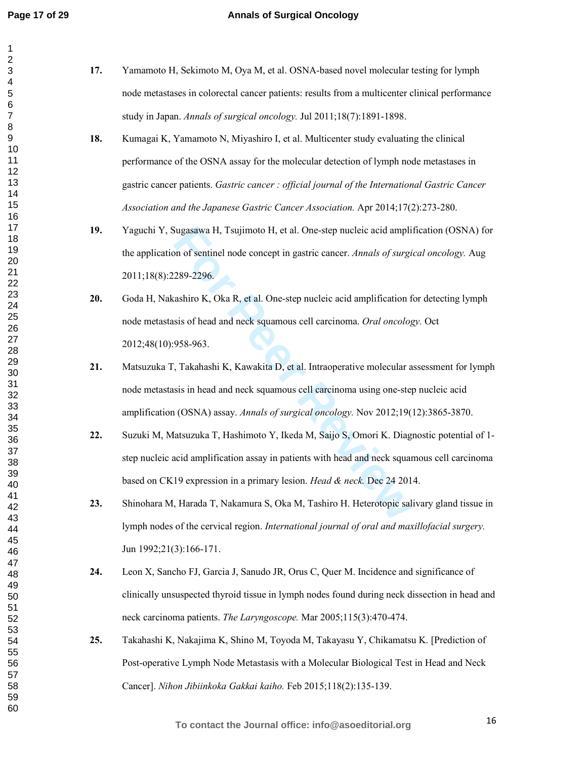$\mathbf{1}$  $\overline{2}$  $\overline{\mathbf{4}}$  $\overline{7}$ 

### **Annals of Surgical Oncology**

| 17. | Yamamoto H, Sekimoto M, Oya M, et al. OSNA-based novel molecular testing for lymph             |
|-----|------------------------------------------------------------------------------------------------|
|     | node metastases in colorectal cancer patients: results from a multicenter clinical performance |
|     | study in Japan. Annals of surgical oncology. Jul 2011;18(7):1891-1898.                         |
| 18. | Kumagai K, Yamamoto N, Miyashiro I, et al. Multicenter study evaluating the clinical           |
|     | performance of the OSNA assay for the molecular detection of lymph node metastases in          |
|     | gastric cancer patients. Gastric cancer : official journal of the International Gastric Cancer |
|     | Association and the Japanese Gastric Cancer Association. Apr 2014;17(2):273-280.               |
| 19. | Yaguchi Y, Sugasawa H, Tsujimoto H, et al. One-step nucleic acid amplification (OSNA) for      |
|     | the application of sentinel node concept in gastric cancer. Annals of surgical oncology. Aug   |
|     | 2011;18(8):2289-2296.                                                                          |
| 20. | Goda H, Nakashiro K, Oka R, et al. One-step nucleic acid amplification for detecting lymph     |
|     | node metastasis of head and neck squamous cell carcinoma. Oral oncology. Oct                   |
|     | 2012;48(10):958-963.                                                                           |
| 21. | Matsuzuka T, Takahashi K, Kawakita D, et al. Intraoperative molecular assessment for lymph     |
|     | node metastasis in head and neck squamous cell carcinoma using one-step nucleic acid           |
|     | amplification (OSNA) assay. Annals of surgical oncology. Nov 2012;19(12):3865-3870.            |
| 22. | Suzuki M, Matsuzuka T, Hashimoto Y, Ikeda M, Saijo S, Omori K. Diagnostic potential of 1-      |
|     | step nucleic acid amplification assay in patients with head and neck squamous cell carcinoma   |
|     | based on CK19 expression in a primary lesion. Head & neck. Dec 24 2014.                        |
| 23. | Shinohara M, Harada T, Nakamura S, Oka M, Tashiro H. Heterotopic salivary gland tissue in      |
|     | lymph nodes of the cervical region. International journal of oral and maxillofacial surgery.   |
|     | Jun 1992;21(3):166-171.                                                                        |
| 24. | Leon X, Sancho FJ, Garcia J, Sanudo JR, Orus C, Quer M. Incidence and significance of          |
|     | clinically unsuspected thyroid tissue in lymph nodes found during neck dissection in head and  |
|     | neck carcinoma patients. The Laryngoscope. Mar 2005;115(3):470-474.                            |
| 25. | Takahashi K, Nakajima K, Shino M, Toyoda M, Takayasu Y, Chikamatsu K. [Prediction of           |
|     | Post-operative Lymph Node Metastasis with a Molecular Biological Test in Head and Neck         |
|     | Cancer]. Nihon Jibiinkoka Gakkai kaiho. Feb 2015;118(2):135-139.                               |
|     |                                                                                                |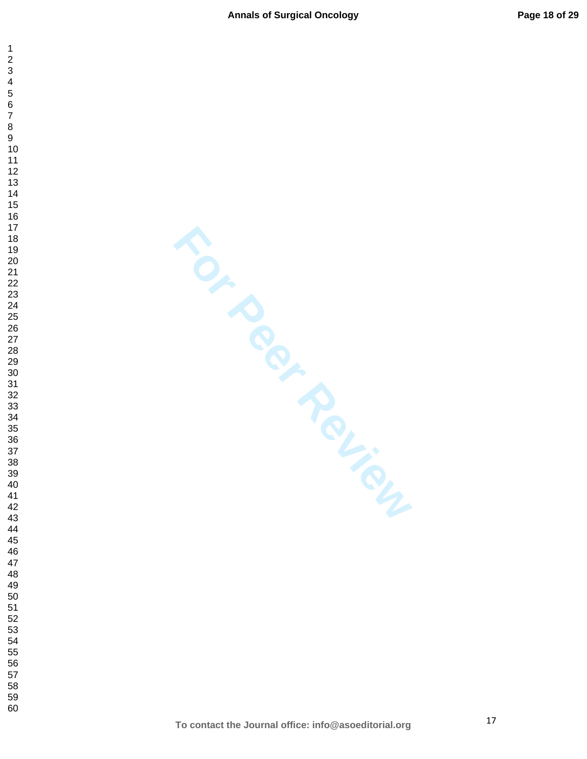$\mathbf{1}$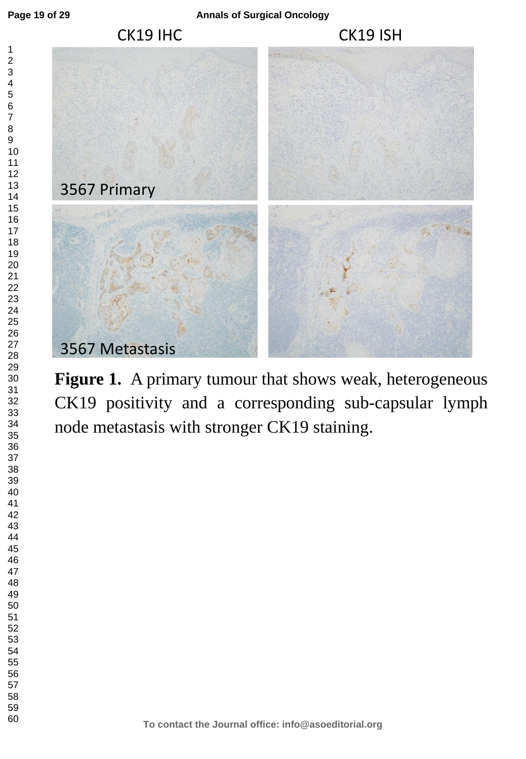CK19 IHC CK19 ISH



**Figure 1 .**  A primary tumour that shows weak, heterogeneous CK19 positivity and a corresponding sub -capsular lymph node metastasis with stronger CK19 staining .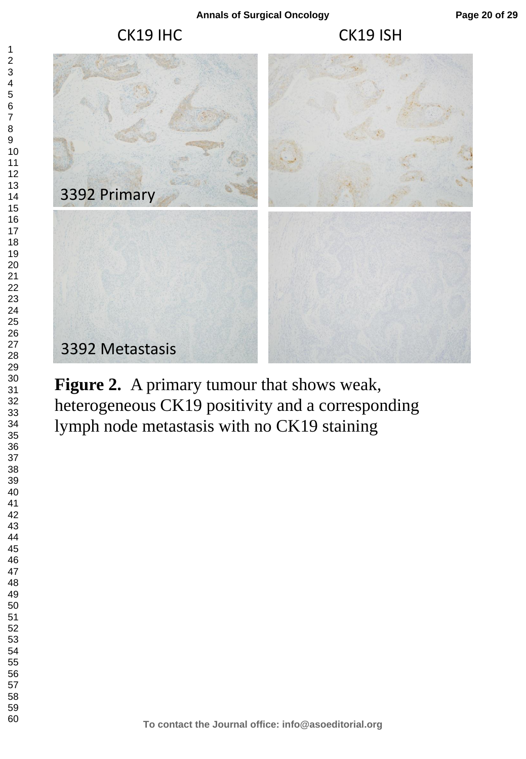CK19 IHC CK19 ISH



**Figure 2.** A primary tumour that shows weak, heterogeneous CK19 positivity and a corresponding lymph node metastasis with no CK19 staining

 $\mathbf 1$  $\overline{2}$  $\overline{4}$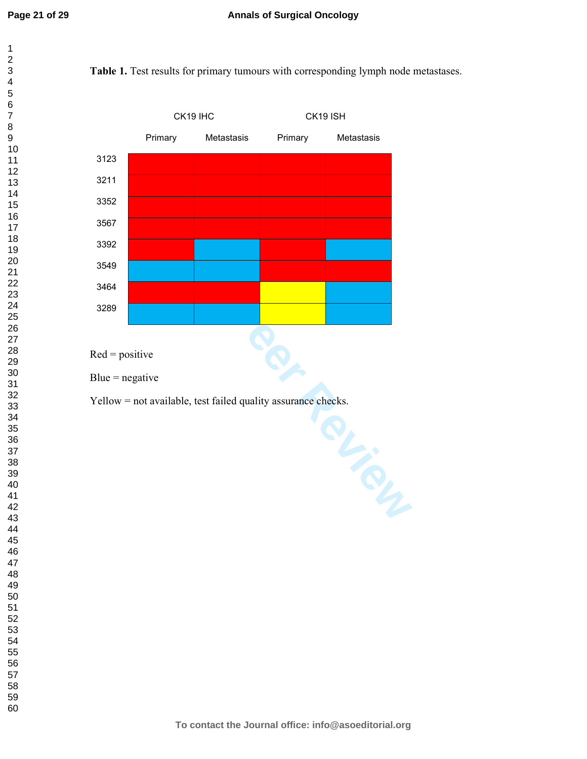$\mathbf{1}$  $\overline{2}$  $\overline{\mathbf{4}}$  $\overline{7}$ 







Yellow = not available, test failed quality assurance checks.

**To contact the Journal office: info@asoeditorial.org**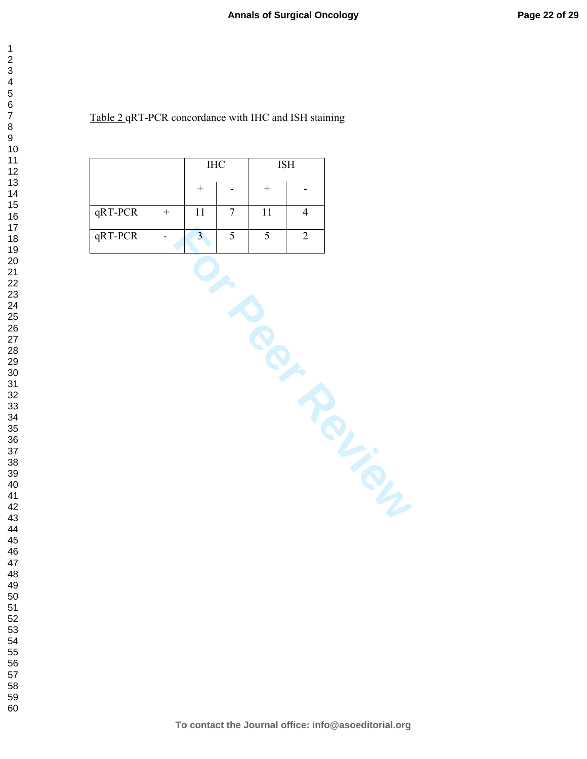Table 2 qRT-PCR concordance with IHC and ISH staining

|           |                   | $\overline{\text{IHC}}$ |                |                  | <b>ISH</b>     |  |
|-----------|-------------------|-------------------------|----------------|------------------|----------------|--|
|           |                   | $\hspace{1.0cm} +$      |                | $\boldsymbol{+}$ |                |  |
| $qRT-PCR$ | $\qquad \qquad +$ | $\overline{11}$         | $\overline{7}$ | $\overline{11}$  | $\overline{4}$ |  |
| $qRT-PCR$ | -                 | $\overline{\mathbf{3}}$ | $\overline{5}$ | $\overline{5}$   | $\overline{2}$ |  |
|           |                   |                         |                |                  |                |  |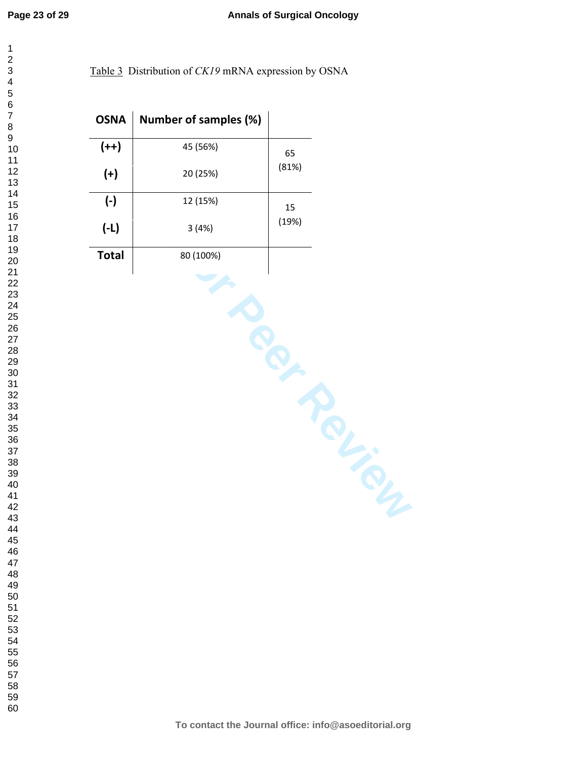$\mathbf{1}$  $\overline{2}$  $\overline{4}$  $\overline{7}$ 

## Table 3 Distribution of *CK19* mRNA expression by OSNA

| <b>OSNA</b>  | <b>Number of samples (%)</b> |       |  |
|--------------|------------------------------|-------|--|
| $(++)$       | 45 (56%)                     | 65    |  |
| $(+)$        | 20 (25%)                     | (81%) |  |
| $(-)$        | 12 (15%)                     | 15    |  |
| $(-L)$       | 3(4%)                        | (19%) |  |
| <b>Total</b> | 80 (100%)                    |       |  |
|              |                              |       |  |

**To contact the Journal office: info@asoeditorial.org**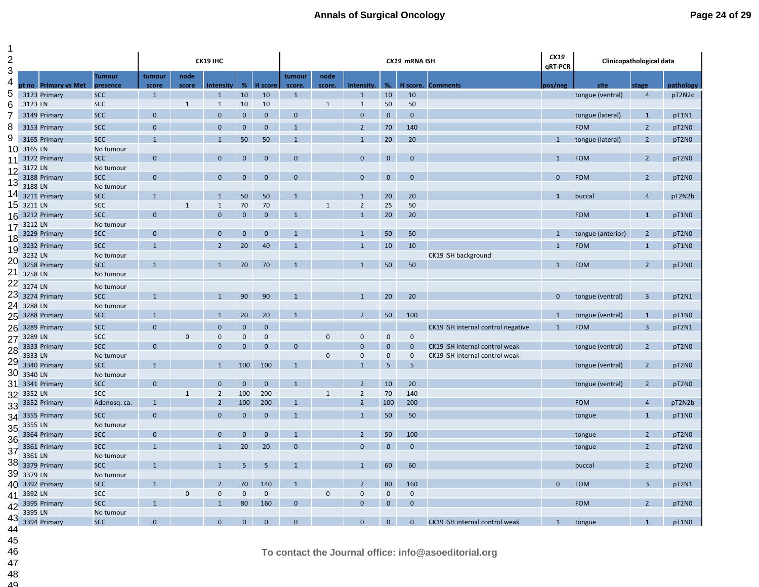# **Annals of Surgical Oncology**

| qRT-PCR<br>3<br><b>Tumour</b><br>node<br>node<br>tumour<br>tumour<br>$\overline{\mathcal{A}}$<br>%<br>$\%$ .<br>ot no Primary vs Met<br>presence<br>score<br>Intensity<br>H score<br>score.<br>Intensity.<br><b>H</b> score. Comments<br>pos/neg<br>site<br>stage<br>score<br>score.<br>5<br>3123 Primary<br><b>SCC</b><br>10<br>10<br>10<br>10<br>$\mathbf{1}$<br>$\overline{1}$<br>tongue (ventral)<br>$\mathbf{1}$<br>1<br>$\overline{4}$<br>6<br>50<br>3123 LN<br>SCC<br>$\mathbf{1}$<br>10<br>10<br>$\mathbf{1}$<br>50<br>$\mathbf{1}$<br>$\mathbf{1}$<br>$\overline{0}$<br>$\overline{0}$<br>$\mathbf{0}$<br>7<br><b>SCC</b><br>$\Omega$<br>$\mathbf{0}$<br>$\mathbf{0}$<br>$\Omega$<br>$\mathbf{0}$<br>3149 Primary<br>tongue (lateral)<br>8<br>$\overline{0}$<br>$\overline{2}$<br>70<br><b>SCC</b><br>$\Omega$<br>$\overline{0}$<br>140<br><b>FOM</b><br>3153 Primary<br>$\Omega$<br>$\overline{\phantom{0}}$<br>9<br>3165 Primary<br><b>SCC</b><br>50<br>50<br>$\mathbf{1}$<br>20<br>20<br>$\mathbf{1}$<br>tongue (lateral)<br>$\overline{2}$<br>$\mathbf{1}$<br>$\mathbf 1$<br>10 3165 LN<br>No tumour<br>$\mathbf{0}$<br><b>SCC</b><br>$\overline{0}$<br>$\mathbf{0}$<br>$\mathbf{0}$<br>$\mathbf{0}$<br>$\mathbf{0}$<br><b>FOM</b><br>3172 Primary<br>$\mathbf{0}$<br>$\mathbf{0}$<br>$\mathbf{1}$<br>$\overline{2}$<br>11<br>12 3172 LN<br>No tumour<br>3188 Primary<br><b>SCC</b><br>$\mathbf{0}$<br>$\mathbf{0}$<br>$\mathbf{0}$<br>$\mathbf{0}$<br>$\mathbf{0}$<br>$\Omega$<br>$\mathbf{0}$<br>$\Omega$<br>$\mathbf{0}$<br><b>FOM</b><br>$\overline{\phantom{a}}$<br>13<br>3188 LN<br>No tumour<br>$14$ 3211 Primary<br><b>SCC</b><br>50<br>20<br>20<br>50<br>$\mathbf{1}$<br>$\overline{1}$<br>buccal<br>15 3211 LN<br>SCC<br>70<br>70<br>$\overline{2}$<br>25<br>50<br>$\mathbf{1}$<br>$\mathbf{1}$<br>$\mathbf{1}$<br>20<br>16 3212 Primary<br><b>SCC</b><br>$\Omega$<br>$\overline{0}$<br>$\mathbf{0}$<br>20<br><b>FOM</b><br>$\Omega$<br>$\overline{1}$<br>17 3212 LN<br>No tumour<br>$\mathbf{0}$<br>$\overline{0}$<br>50<br>50<br>3229 Primary<br><b>SCC</b><br>$\mathbf{0}$<br>$\Omega$<br>tongue (anterior)<br>18<br>20<br><b>SCC</b><br>$\overline{2}$<br>40<br>10<br>10<br><b>FOM</b><br>3232 Primary<br>$\overline{1}$<br>$\mathbf{1}$<br>-1<br>19<br>3232 LN<br>CK19 ISH background<br>No tumour<br>$20 \frac{3232 \text{ LN}}{3258 \text{ Prir}}$<br>21 3258 LN<br>3258 Primary<br>50<br><b>SCC</b><br>70<br>70<br>50<br>$\mathbf{1}$<br><b>FOM</b><br>$\mathbf{1}$<br>$\overline{1}$<br>$\overline{1}$<br>$\overline{2}$<br>No tumour<br>22 3274 LN<br>No tumour<br>23 3274 Primary<br>20<br><b>SCC</b><br>90<br>90<br>20<br>$\mathbf{1}$<br>$\overline{1}$<br>$\mathbf{0}$<br>tongue (ventral)<br>$\overline{3}$<br>$\mathbf{1}$<br>24 3288 LN<br>No tumour<br>25 3288 Primary<br>20<br>20<br>50<br>100<br><b>SCC</b><br>$\overline{2}$<br>$\mathbf{1}$<br>tongue (ventral)<br>26 3289 Primary<br><b>SCC</b><br>$\Omega$<br>$\Omega$<br>$\Omega$<br>CK19 ISH internal control negative<br><b>FOM</b><br>в<br>$\mathbf 0$<br>27 3289 LN<br>SCC<br>$\mathbf 0$<br>$\mathbf 0$<br>$\mathbf 0$<br>$\mathbf 0$<br>$\mathbf 0$<br>$\mathbf 0$<br>$\mathbf 0$<br>3333 Primary<br><b>SCC</b><br>$\overline{0}$<br>$\mathbf{0}$<br>$\mathbf{0}$<br>$\mathbf{0}$<br>$\Omega$<br>$\overline{0}$<br>CK19 ISH internal control weak<br>$\Omega$<br>$\Omega$<br>tongue (ventral)<br>$\mathcal{P}$<br>28<br>3333 LN<br>$\mathbf 0$<br>No tumour<br>$\mathbf 0$<br>$\mathbf 0$<br>$\mathbf 0$<br>CK19 ISH internal control weak<br>29 3340 Primary<br>5 <sup>5</sup><br>5 <sup>5</sup><br><b>SCC</b><br>100<br>$\overline{1}$<br>100<br>tongue (ventral)<br>$\mathbf{1}$<br>$\overline{\phantom{0}}$<br>30 3340 LN<br>No tumour<br>10<br>20<br>31 3341 Primary<br><b>SCC</b><br>$\mathbf{0}$<br>$\mathbf{0}$<br>$\mathbf{0}$<br>$\overline{2}$<br>$\Omega$<br>tongue (ventral)<br>$\mathcal{P}$<br>32 3352 LN<br>SCC<br>$\overline{2}$<br>100<br>200<br>$\overline{2}$<br>70<br>140<br>$\mathbf{1}$<br>$\mathbf{1}$<br>$\overline{2}$<br>100<br>$\overline{2}$<br>100<br>200<br>33 3352 Primary<br>200<br><b>FOM</b><br>Adenosq. ca. |           |
|-------------------------------------------------------------------------------------------------------------------------------------------------------------------------------------------------------------------------------------------------------------------------------------------------------------------------------------------------------------------------------------------------------------------------------------------------------------------------------------------------------------------------------------------------------------------------------------------------------------------------------------------------------------------------------------------------------------------------------------------------------------------------------------------------------------------------------------------------------------------------------------------------------------------------------------------------------------------------------------------------------------------------------------------------------------------------------------------------------------------------------------------------------------------------------------------------------------------------------------------------------------------------------------------------------------------------------------------------------------------------------------------------------------------------------------------------------------------------------------------------------------------------------------------------------------------------------------------------------------------------------------------------------------------------------------------------------------------------------------------------------------------------------------------------------------------------------------------------------------------------------------------------------------------------------------------------------------------------------------------------------------------------------------------------------------------------------------------------------------------------------------------------------------------------------------------------------------------------------------------------------------------------------------------------------------------------------------------------------------------------------------------------------------------------------------------------------------------------------------------------------------------------------------------------------------------------------------------------------------------------------------------------------------------------------------------------------------------------------------------------------------------------------------------------------------------------------------------------------------------------------------------------------------------------------------------------------------------------------------------------------------------------------------------------------------------------------------------------------------------------------------------------------------------------------------------------------------------------------------------------------------------------------------------------------------------------------------------------------------------------------------------------------------------------------------------------------------------------------------------------------------------------------------------------------------------------------------------------------------------------------------------------------------------------------------------------------------------------------------------------------------------------------------------------------------------------------------------------------------------------------------------------------------------------------------------------------------------------------------------------------------------------------------------------------------------------------------------------------------------------------------------------------|-----------|
|                                                                                                                                                                                                                                                                                                                                                                                                                                                                                                                                                                                                                                                                                                                                                                                                                                                                                                                                                                                                                                                                                                                                                                                                                                                                                                                                                                                                                                                                                                                                                                                                                                                                                                                                                                                                                                                                                                                                                                                                                                                                                                                                                                                                                                                                                                                                                                                                                                                                                                                                                                                                                                                                                                                                                                                                                                                                                                                                                                                                                                                                                                                                                                                                                                                                                                                                                                                                                                                                                                                                                                                                                                                                                                                                                                                                                                                                                                                                                                                                                                                                                                                                                       |           |
|                                                                                                                                                                                                                                                                                                                                                                                                                                                                                                                                                                                                                                                                                                                                                                                                                                                                                                                                                                                                                                                                                                                                                                                                                                                                                                                                                                                                                                                                                                                                                                                                                                                                                                                                                                                                                                                                                                                                                                                                                                                                                                                                                                                                                                                                                                                                                                                                                                                                                                                                                                                                                                                                                                                                                                                                                                                                                                                                                                                                                                                                                                                                                                                                                                                                                                                                                                                                                                                                                                                                                                                                                                                                                                                                                                                                                                                                                                                                                                                                                                                                                                                                                       | pathology |
|                                                                                                                                                                                                                                                                                                                                                                                                                                                                                                                                                                                                                                                                                                                                                                                                                                                                                                                                                                                                                                                                                                                                                                                                                                                                                                                                                                                                                                                                                                                                                                                                                                                                                                                                                                                                                                                                                                                                                                                                                                                                                                                                                                                                                                                                                                                                                                                                                                                                                                                                                                                                                                                                                                                                                                                                                                                                                                                                                                                                                                                                                                                                                                                                                                                                                                                                                                                                                                                                                                                                                                                                                                                                                                                                                                                                                                                                                                                                                                                                                                                                                                                                                       | pT2N2c    |
|                                                                                                                                                                                                                                                                                                                                                                                                                                                                                                                                                                                                                                                                                                                                                                                                                                                                                                                                                                                                                                                                                                                                                                                                                                                                                                                                                                                                                                                                                                                                                                                                                                                                                                                                                                                                                                                                                                                                                                                                                                                                                                                                                                                                                                                                                                                                                                                                                                                                                                                                                                                                                                                                                                                                                                                                                                                                                                                                                                                                                                                                                                                                                                                                                                                                                                                                                                                                                                                                                                                                                                                                                                                                                                                                                                                                                                                                                                                                                                                                                                                                                                                                                       |           |
|                                                                                                                                                                                                                                                                                                                                                                                                                                                                                                                                                                                                                                                                                                                                                                                                                                                                                                                                                                                                                                                                                                                                                                                                                                                                                                                                                                                                                                                                                                                                                                                                                                                                                                                                                                                                                                                                                                                                                                                                                                                                                                                                                                                                                                                                                                                                                                                                                                                                                                                                                                                                                                                                                                                                                                                                                                                                                                                                                                                                                                                                                                                                                                                                                                                                                                                                                                                                                                                                                                                                                                                                                                                                                                                                                                                                                                                                                                                                                                                                                                                                                                                                                       | pT1N1     |
|                                                                                                                                                                                                                                                                                                                                                                                                                                                                                                                                                                                                                                                                                                                                                                                                                                                                                                                                                                                                                                                                                                                                                                                                                                                                                                                                                                                                                                                                                                                                                                                                                                                                                                                                                                                                                                                                                                                                                                                                                                                                                                                                                                                                                                                                                                                                                                                                                                                                                                                                                                                                                                                                                                                                                                                                                                                                                                                                                                                                                                                                                                                                                                                                                                                                                                                                                                                                                                                                                                                                                                                                                                                                                                                                                                                                                                                                                                                                                                                                                                                                                                                                                       | pT2N0     |
|                                                                                                                                                                                                                                                                                                                                                                                                                                                                                                                                                                                                                                                                                                                                                                                                                                                                                                                                                                                                                                                                                                                                                                                                                                                                                                                                                                                                                                                                                                                                                                                                                                                                                                                                                                                                                                                                                                                                                                                                                                                                                                                                                                                                                                                                                                                                                                                                                                                                                                                                                                                                                                                                                                                                                                                                                                                                                                                                                                                                                                                                                                                                                                                                                                                                                                                                                                                                                                                                                                                                                                                                                                                                                                                                                                                                                                                                                                                                                                                                                                                                                                                                                       | pT2N0     |
|                                                                                                                                                                                                                                                                                                                                                                                                                                                                                                                                                                                                                                                                                                                                                                                                                                                                                                                                                                                                                                                                                                                                                                                                                                                                                                                                                                                                                                                                                                                                                                                                                                                                                                                                                                                                                                                                                                                                                                                                                                                                                                                                                                                                                                                                                                                                                                                                                                                                                                                                                                                                                                                                                                                                                                                                                                                                                                                                                                                                                                                                                                                                                                                                                                                                                                                                                                                                                                                                                                                                                                                                                                                                                                                                                                                                                                                                                                                                                                                                                                                                                                                                                       |           |
|                                                                                                                                                                                                                                                                                                                                                                                                                                                                                                                                                                                                                                                                                                                                                                                                                                                                                                                                                                                                                                                                                                                                                                                                                                                                                                                                                                                                                                                                                                                                                                                                                                                                                                                                                                                                                                                                                                                                                                                                                                                                                                                                                                                                                                                                                                                                                                                                                                                                                                                                                                                                                                                                                                                                                                                                                                                                                                                                                                                                                                                                                                                                                                                                                                                                                                                                                                                                                                                                                                                                                                                                                                                                                                                                                                                                                                                                                                                                                                                                                                                                                                                                                       | pT2N0     |
|                                                                                                                                                                                                                                                                                                                                                                                                                                                                                                                                                                                                                                                                                                                                                                                                                                                                                                                                                                                                                                                                                                                                                                                                                                                                                                                                                                                                                                                                                                                                                                                                                                                                                                                                                                                                                                                                                                                                                                                                                                                                                                                                                                                                                                                                                                                                                                                                                                                                                                                                                                                                                                                                                                                                                                                                                                                                                                                                                                                                                                                                                                                                                                                                                                                                                                                                                                                                                                                                                                                                                                                                                                                                                                                                                                                                                                                                                                                                                                                                                                                                                                                                                       |           |
|                                                                                                                                                                                                                                                                                                                                                                                                                                                                                                                                                                                                                                                                                                                                                                                                                                                                                                                                                                                                                                                                                                                                                                                                                                                                                                                                                                                                                                                                                                                                                                                                                                                                                                                                                                                                                                                                                                                                                                                                                                                                                                                                                                                                                                                                                                                                                                                                                                                                                                                                                                                                                                                                                                                                                                                                                                                                                                                                                                                                                                                                                                                                                                                                                                                                                                                                                                                                                                                                                                                                                                                                                                                                                                                                                                                                                                                                                                                                                                                                                                                                                                                                                       | pT2N0     |
|                                                                                                                                                                                                                                                                                                                                                                                                                                                                                                                                                                                                                                                                                                                                                                                                                                                                                                                                                                                                                                                                                                                                                                                                                                                                                                                                                                                                                                                                                                                                                                                                                                                                                                                                                                                                                                                                                                                                                                                                                                                                                                                                                                                                                                                                                                                                                                                                                                                                                                                                                                                                                                                                                                                                                                                                                                                                                                                                                                                                                                                                                                                                                                                                                                                                                                                                                                                                                                                                                                                                                                                                                                                                                                                                                                                                                                                                                                                                                                                                                                                                                                                                                       |           |
|                                                                                                                                                                                                                                                                                                                                                                                                                                                                                                                                                                                                                                                                                                                                                                                                                                                                                                                                                                                                                                                                                                                                                                                                                                                                                                                                                                                                                                                                                                                                                                                                                                                                                                                                                                                                                                                                                                                                                                                                                                                                                                                                                                                                                                                                                                                                                                                                                                                                                                                                                                                                                                                                                                                                                                                                                                                                                                                                                                                                                                                                                                                                                                                                                                                                                                                                                                                                                                                                                                                                                                                                                                                                                                                                                                                                                                                                                                                                                                                                                                                                                                                                                       | pT2N2b    |
|                                                                                                                                                                                                                                                                                                                                                                                                                                                                                                                                                                                                                                                                                                                                                                                                                                                                                                                                                                                                                                                                                                                                                                                                                                                                                                                                                                                                                                                                                                                                                                                                                                                                                                                                                                                                                                                                                                                                                                                                                                                                                                                                                                                                                                                                                                                                                                                                                                                                                                                                                                                                                                                                                                                                                                                                                                                                                                                                                                                                                                                                                                                                                                                                                                                                                                                                                                                                                                                                                                                                                                                                                                                                                                                                                                                                                                                                                                                                                                                                                                                                                                                                                       |           |
|                                                                                                                                                                                                                                                                                                                                                                                                                                                                                                                                                                                                                                                                                                                                                                                                                                                                                                                                                                                                                                                                                                                                                                                                                                                                                                                                                                                                                                                                                                                                                                                                                                                                                                                                                                                                                                                                                                                                                                                                                                                                                                                                                                                                                                                                                                                                                                                                                                                                                                                                                                                                                                                                                                                                                                                                                                                                                                                                                                                                                                                                                                                                                                                                                                                                                                                                                                                                                                                                                                                                                                                                                                                                                                                                                                                                                                                                                                                                                                                                                                                                                                                                                       | pT1N0     |
|                                                                                                                                                                                                                                                                                                                                                                                                                                                                                                                                                                                                                                                                                                                                                                                                                                                                                                                                                                                                                                                                                                                                                                                                                                                                                                                                                                                                                                                                                                                                                                                                                                                                                                                                                                                                                                                                                                                                                                                                                                                                                                                                                                                                                                                                                                                                                                                                                                                                                                                                                                                                                                                                                                                                                                                                                                                                                                                                                                                                                                                                                                                                                                                                                                                                                                                                                                                                                                                                                                                                                                                                                                                                                                                                                                                                                                                                                                                                                                                                                                                                                                                                                       | pT2N0     |
|                                                                                                                                                                                                                                                                                                                                                                                                                                                                                                                                                                                                                                                                                                                                                                                                                                                                                                                                                                                                                                                                                                                                                                                                                                                                                                                                                                                                                                                                                                                                                                                                                                                                                                                                                                                                                                                                                                                                                                                                                                                                                                                                                                                                                                                                                                                                                                                                                                                                                                                                                                                                                                                                                                                                                                                                                                                                                                                                                                                                                                                                                                                                                                                                                                                                                                                                                                                                                                                                                                                                                                                                                                                                                                                                                                                                                                                                                                                                                                                                                                                                                                                                                       |           |
|                                                                                                                                                                                                                                                                                                                                                                                                                                                                                                                                                                                                                                                                                                                                                                                                                                                                                                                                                                                                                                                                                                                                                                                                                                                                                                                                                                                                                                                                                                                                                                                                                                                                                                                                                                                                                                                                                                                                                                                                                                                                                                                                                                                                                                                                                                                                                                                                                                                                                                                                                                                                                                                                                                                                                                                                                                                                                                                                                                                                                                                                                                                                                                                                                                                                                                                                                                                                                                                                                                                                                                                                                                                                                                                                                                                                                                                                                                                                                                                                                                                                                                                                                       | pT1N0     |
|                                                                                                                                                                                                                                                                                                                                                                                                                                                                                                                                                                                                                                                                                                                                                                                                                                                                                                                                                                                                                                                                                                                                                                                                                                                                                                                                                                                                                                                                                                                                                                                                                                                                                                                                                                                                                                                                                                                                                                                                                                                                                                                                                                                                                                                                                                                                                                                                                                                                                                                                                                                                                                                                                                                                                                                                                                                                                                                                                                                                                                                                                                                                                                                                                                                                                                                                                                                                                                                                                                                                                                                                                                                                                                                                                                                                                                                                                                                                                                                                                                                                                                                                                       |           |
|                                                                                                                                                                                                                                                                                                                                                                                                                                                                                                                                                                                                                                                                                                                                                                                                                                                                                                                                                                                                                                                                                                                                                                                                                                                                                                                                                                                                                                                                                                                                                                                                                                                                                                                                                                                                                                                                                                                                                                                                                                                                                                                                                                                                                                                                                                                                                                                                                                                                                                                                                                                                                                                                                                                                                                                                                                                                                                                                                                                                                                                                                                                                                                                                                                                                                                                                                                                                                                                                                                                                                                                                                                                                                                                                                                                                                                                                                                                                                                                                                                                                                                                                                       | pT2N0     |
|                                                                                                                                                                                                                                                                                                                                                                                                                                                                                                                                                                                                                                                                                                                                                                                                                                                                                                                                                                                                                                                                                                                                                                                                                                                                                                                                                                                                                                                                                                                                                                                                                                                                                                                                                                                                                                                                                                                                                                                                                                                                                                                                                                                                                                                                                                                                                                                                                                                                                                                                                                                                                                                                                                                                                                                                                                                                                                                                                                                                                                                                                                                                                                                                                                                                                                                                                                                                                                                                                                                                                                                                                                                                                                                                                                                                                                                                                                                                                                                                                                                                                                                                                       |           |
|                                                                                                                                                                                                                                                                                                                                                                                                                                                                                                                                                                                                                                                                                                                                                                                                                                                                                                                                                                                                                                                                                                                                                                                                                                                                                                                                                                                                                                                                                                                                                                                                                                                                                                                                                                                                                                                                                                                                                                                                                                                                                                                                                                                                                                                                                                                                                                                                                                                                                                                                                                                                                                                                                                                                                                                                                                                                                                                                                                                                                                                                                                                                                                                                                                                                                                                                                                                                                                                                                                                                                                                                                                                                                                                                                                                                                                                                                                                                                                                                                                                                                                                                                       |           |
|                                                                                                                                                                                                                                                                                                                                                                                                                                                                                                                                                                                                                                                                                                                                                                                                                                                                                                                                                                                                                                                                                                                                                                                                                                                                                                                                                                                                                                                                                                                                                                                                                                                                                                                                                                                                                                                                                                                                                                                                                                                                                                                                                                                                                                                                                                                                                                                                                                                                                                                                                                                                                                                                                                                                                                                                                                                                                                                                                                                                                                                                                                                                                                                                                                                                                                                                                                                                                                                                                                                                                                                                                                                                                                                                                                                                                                                                                                                                                                                                                                                                                                                                                       | pT2N1     |
|                                                                                                                                                                                                                                                                                                                                                                                                                                                                                                                                                                                                                                                                                                                                                                                                                                                                                                                                                                                                                                                                                                                                                                                                                                                                                                                                                                                                                                                                                                                                                                                                                                                                                                                                                                                                                                                                                                                                                                                                                                                                                                                                                                                                                                                                                                                                                                                                                                                                                                                                                                                                                                                                                                                                                                                                                                                                                                                                                                                                                                                                                                                                                                                                                                                                                                                                                                                                                                                                                                                                                                                                                                                                                                                                                                                                                                                                                                                                                                                                                                                                                                                                                       | pT1N0     |
|                                                                                                                                                                                                                                                                                                                                                                                                                                                                                                                                                                                                                                                                                                                                                                                                                                                                                                                                                                                                                                                                                                                                                                                                                                                                                                                                                                                                                                                                                                                                                                                                                                                                                                                                                                                                                                                                                                                                                                                                                                                                                                                                                                                                                                                                                                                                                                                                                                                                                                                                                                                                                                                                                                                                                                                                                                                                                                                                                                                                                                                                                                                                                                                                                                                                                                                                                                                                                                                                                                                                                                                                                                                                                                                                                                                                                                                                                                                                                                                                                                                                                                                                                       |           |
|                                                                                                                                                                                                                                                                                                                                                                                                                                                                                                                                                                                                                                                                                                                                                                                                                                                                                                                                                                                                                                                                                                                                                                                                                                                                                                                                                                                                                                                                                                                                                                                                                                                                                                                                                                                                                                                                                                                                                                                                                                                                                                                                                                                                                                                                                                                                                                                                                                                                                                                                                                                                                                                                                                                                                                                                                                                                                                                                                                                                                                                                                                                                                                                                                                                                                                                                                                                                                                                                                                                                                                                                                                                                                                                                                                                                                                                                                                                                                                                                                                                                                                                                                       | pT2N1     |
|                                                                                                                                                                                                                                                                                                                                                                                                                                                                                                                                                                                                                                                                                                                                                                                                                                                                                                                                                                                                                                                                                                                                                                                                                                                                                                                                                                                                                                                                                                                                                                                                                                                                                                                                                                                                                                                                                                                                                                                                                                                                                                                                                                                                                                                                                                                                                                                                                                                                                                                                                                                                                                                                                                                                                                                                                                                                                                                                                                                                                                                                                                                                                                                                                                                                                                                                                                                                                                                                                                                                                                                                                                                                                                                                                                                                                                                                                                                                                                                                                                                                                                                                                       |           |
|                                                                                                                                                                                                                                                                                                                                                                                                                                                                                                                                                                                                                                                                                                                                                                                                                                                                                                                                                                                                                                                                                                                                                                                                                                                                                                                                                                                                                                                                                                                                                                                                                                                                                                                                                                                                                                                                                                                                                                                                                                                                                                                                                                                                                                                                                                                                                                                                                                                                                                                                                                                                                                                                                                                                                                                                                                                                                                                                                                                                                                                                                                                                                                                                                                                                                                                                                                                                                                                                                                                                                                                                                                                                                                                                                                                                                                                                                                                                                                                                                                                                                                                                                       | pT2N0     |
|                                                                                                                                                                                                                                                                                                                                                                                                                                                                                                                                                                                                                                                                                                                                                                                                                                                                                                                                                                                                                                                                                                                                                                                                                                                                                                                                                                                                                                                                                                                                                                                                                                                                                                                                                                                                                                                                                                                                                                                                                                                                                                                                                                                                                                                                                                                                                                                                                                                                                                                                                                                                                                                                                                                                                                                                                                                                                                                                                                                                                                                                                                                                                                                                                                                                                                                                                                                                                                                                                                                                                                                                                                                                                                                                                                                                                                                                                                                                                                                                                                                                                                                                                       | pT2N0     |
|                                                                                                                                                                                                                                                                                                                                                                                                                                                                                                                                                                                                                                                                                                                                                                                                                                                                                                                                                                                                                                                                                                                                                                                                                                                                                                                                                                                                                                                                                                                                                                                                                                                                                                                                                                                                                                                                                                                                                                                                                                                                                                                                                                                                                                                                                                                                                                                                                                                                                                                                                                                                                                                                                                                                                                                                                                                                                                                                                                                                                                                                                                                                                                                                                                                                                                                                                                                                                                                                                                                                                                                                                                                                                                                                                                                                                                                                                                                                                                                                                                                                                                                                                       |           |
|                                                                                                                                                                                                                                                                                                                                                                                                                                                                                                                                                                                                                                                                                                                                                                                                                                                                                                                                                                                                                                                                                                                                                                                                                                                                                                                                                                                                                                                                                                                                                                                                                                                                                                                                                                                                                                                                                                                                                                                                                                                                                                                                                                                                                                                                                                                                                                                                                                                                                                                                                                                                                                                                                                                                                                                                                                                                                                                                                                                                                                                                                                                                                                                                                                                                                                                                                                                                                                                                                                                                                                                                                                                                                                                                                                                                                                                                                                                                                                                                                                                                                                                                                       | pT2N0     |
|                                                                                                                                                                                                                                                                                                                                                                                                                                                                                                                                                                                                                                                                                                                                                                                                                                                                                                                                                                                                                                                                                                                                                                                                                                                                                                                                                                                                                                                                                                                                                                                                                                                                                                                                                                                                                                                                                                                                                                                                                                                                                                                                                                                                                                                                                                                                                                                                                                                                                                                                                                                                                                                                                                                                                                                                                                                                                                                                                                                                                                                                                                                                                                                                                                                                                                                                                                                                                                                                                                                                                                                                                                                                                                                                                                                                                                                                                                                                                                                                                                                                                                                                                       |           |
|                                                                                                                                                                                                                                                                                                                                                                                                                                                                                                                                                                                                                                                                                                                                                                                                                                                                                                                                                                                                                                                                                                                                                                                                                                                                                                                                                                                                                                                                                                                                                                                                                                                                                                                                                                                                                                                                                                                                                                                                                                                                                                                                                                                                                                                                                                                                                                                                                                                                                                                                                                                                                                                                                                                                                                                                                                                                                                                                                                                                                                                                                                                                                                                                                                                                                                                                                                                                                                                                                                                                                                                                                                                                                                                                                                                                                                                                                                                                                                                                                                                                                                                                                       | pT2N2b    |
| $\mathbf{1}$<br>50<br>$\mathbf{0}$<br>$\overline{0}$<br>$\overline{0}$<br>50<br>34 3355 Primary<br><b>SCC</b><br>$\Omega$<br>tongue                                                                                                                                                                                                                                                                                                                                                                                                                                                                                                                                                                                                                                                                                                                                                                                                                                                                                                                                                                                                                                                                                                                                                                                                                                                                                                                                                                                                                                                                                                                                                                                                                                                                                                                                                                                                                                                                                                                                                                                                                                                                                                                                                                                                                                                                                                                                                                                                                                                                                                                                                                                                                                                                                                                                                                                                                                                                                                                                                                                                                                                                                                                                                                                                                                                                                                                                                                                                                                                                                                                                                                                                                                                                                                                                                                                                                                                                                                                                                                                                                   | pT1N0     |
| No tumour                                                                                                                                                                                                                                                                                                                                                                                                                                                                                                                                                                                                                                                                                                                                                                                                                                                                                                                                                                                                                                                                                                                                                                                                                                                                                                                                                                                                                                                                                                                                                                                                                                                                                                                                                                                                                                                                                                                                                                                                                                                                                                                                                                                                                                                                                                                                                                                                                                                                                                                                                                                                                                                                                                                                                                                                                                                                                                                                                                                                                                                                                                                                                                                                                                                                                                                                                                                                                                                                                                                                                                                                                                                                                                                                                                                                                                                                                                                                                                                                                                                                                                                                             |           |
| $35\frac{3355 \text{ LN}}{3201}$<br>3364 Primary<br><b>SCC</b><br>$\mathbf{0}$<br>$\mathbf{0}$<br>$\mathbf{0}$<br>$\overline{2}$<br>50<br>100<br>$\Omega$<br>$\overline{1}$<br>$\overline{2}$<br>tongue                                                                                                                                                                                                                                                                                                                                                                                                                                                                                                                                                                                                                                                                                                                                                                                                                                                                                                                                                                                                                                                                                                                                                                                                                                                                                                                                                                                                                                                                                                                                                                                                                                                                                                                                                                                                                                                                                                                                                                                                                                                                                                                                                                                                                                                                                                                                                                                                                                                                                                                                                                                                                                                                                                                                                                                                                                                                                                                                                                                                                                                                                                                                                                                                                                                                                                                                                                                                                                                                                                                                                                                                                                                                                                                                                                                                                                                                                                                                               | pT2N0     |
| 36<br><b>SCC</b><br>20<br>$\mathbf{0}$<br>20<br>$\mathbf{0}$<br>$\mathbf{1}$<br>$\mathbf{0}$<br>$\overline{2}$<br>$\mathbf 0$                                                                                                                                                                                                                                                                                                                                                                                                                                                                                                                                                                                                                                                                                                                                                                                                                                                                                                                                                                                                                                                                                                                                                                                                                                                                                                                                                                                                                                                                                                                                                                                                                                                                                                                                                                                                                                                                                                                                                                                                                                                                                                                                                                                                                                                                                                                                                                                                                                                                                                                                                                                                                                                                                                                                                                                                                                                                                                                                                                                                                                                                                                                                                                                                                                                                                                                                                                                                                                                                                                                                                                                                                                                                                                                                                                                                                                                                                                                                                                                                                         | pT2N0     |
| 3361 Primary<br>tongue<br>37<br>3361 LN<br>No tumour                                                                                                                                                                                                                                                                                                                                                                                                                                                                                                                                                                                                                                                                                                                                                                                                                                                                                                                                                                                                                                                                                                                                                                                                                                                                                                                                                                                                                                                                                                                                                                                                                                                                                                                                                                                                                                                                                                                                                                                                                                                                                                                                                                                                                                                                                                                                                                                                                                                                                                                                                                                                                                                                                                                                                                                                                                                                                                                                                                                                                                                                                                                                                                                                                                                                                                                                                                                                                                                                                                                                                                                                                                                                                                                                                                                                                                                                                                                                                                                                                                                                                                  |           |
| 38<br>3379 Primary<br><b>SCC</b><br>5<br>5<br>$\mathbf{1}$<br>60<br>60<br>$\mathbf{1}$<br>$\overline{1}$<br>buccal<br>$\overline{\phantom{a}}$                                                                                                                                                                                                                                                                                                                                                                                                                                                                                                                                                                                                                                                                                                                                                                                                                                                                                                                                                                                                                                                                                                                                                                                                                                                                                                                                                                                                                                                                                                                                                                                                                                                                                                                                                                                                                                                                                                                                                                                                                                                                                                                                                                                                                                                                                                                                                                                                                                                                                                                                                                                                                                                                                                                                                                                                                                                                                                                                                                                                                                                                                                                                                                                                                                                                                                                                                                                                                                                                                                                                                                                                                                                                                                                                                                                                                                                                                                                                                                                                        | pT2N0     |
| 39 3379 LN<br>No tumour                                                                                                                                                                                                                                                                                                                                                                                                                                                                                                                                                                                                                                                                                                                                                                                                                                                                                                                                                                                                                                                                                                                                                                                                                                                                                                                                                                                                                                                                                                                                                                                                                                                                                                                                                                                                                                                                                                                                                                                                                                                                                                                                                                                                                                                                                                                                                                                                                                                                                                                                                                                                                                                                                                                                                                                                                                                                                                                                                                                                                                                                                                                                                                                                                                                                                                                                                                                                                                                                                                                                                                                                                                                                                                                                                                                                                                                                                                                                                                                                                                                                                                                               |           |
| 80<br>160<br>40 3392 Primary<br><b>SCC</b><br>70<br>140<br>$\overline{2}$<br><b>FOM</b><br>$\overline{2}$<br>З                                                                                                                                                                                                                                                                                                                                                                                                                                                                                                                                                                                                                                                                                                                                                                                                                                                                                                                                                                                                                                                                                                                                                                                                                                                                                                                                                                                                                                                                                                                                                                                                                                                                                                                                                                                                                                                                                                                                                                                                                                                                                                                                                                                                                                                                                                                                                                                                                                                                                                                                                                                                                                                                                                                                                                                                                                                                                                                                                                                                                                                                                                                                                                                                                                                                                                                                                                                                                                                                                                                                                                                                                                                                                                                                                                                                                                                                                                                                                                                                                                        | pT2N1     |
| 41 3392 LN<br><b>SCC</b><br>$\mathbf 0$<br>$\mathbf 0$<br>$\mathbf 0$<br>$\mathbf 0$<br>$\overline{0}$<br>$\mathbf 0$<br>$\mathbf 0$<br>$\mathbf 0$                                                                                                                                                                                                                                                                                                                                                                                                                                                                                                                                                                                                                                                                                                                                                                                                                                                                                                                                                                                                                                                                                                                                                                                                                                                                                                                                                                                                                                                                                                                                                                                                                                                                                                                                                                                                                                                                                                                                                                                                                                                                                                                                                                                                                                                                                                                                                                                                                                                                                                                                                                                                                                                                                                                                                                                                                                                                                                                                                                                                                                                                                                                                                                                                                                                                                                                                                                                                                                                                                                                                                                                                                                                                                                                                                                                                                                                                                                                                                                                                   |           |
| $\mathbf{0}$<br>$42 \frac{3395 \text{ Primary}}{}$<br><b>SCC</b><br>80<br>160<br>$\mathbf{0}$<br>$\mathbf{1}$<br>$\Omega$<br>$\Omega$<br><b>FOM</b><br>$\overline{\phantom{0}}$                                                                                                                                                                                                                                                                                                                                                                                                                                                                                                                                                                                                                                                                                                                                                                                                                                                                                                                                                                                                                                                                                                                                                                                                                                                                                                                                                                                                                                                                                                                                                                                                                                                                                                                                                                                                                                                                                                                                                                                                                                                                                                                                                                                                                                                                                                                                                                                                                                                                                                                                                                                                                                                                                                                                                                                                                                                                                                                                                                                                                                                                                                                                                                                                                                                                                                                                                                                                                                                                                                                                                                                                                                                                                                                                                                                                                                                                                                                                                                       | pT2N0     |
| 3395 LN<br>No tumour<br>43                                                                                                                                                                                                                                                                                                                                                                                                                                                                                                                                                                                                                                                                                                                                                                                                                                                                                                                                                                                                                                                                                                                                                                                                                                                                                                                                                                                                                                                                                                                                                                                                                                                                                                                                                                                                                                                                                                                                                                                                                                                                                                                                                                                                                                                                                                                                                                                                                                                                                                                                                                                                                                                                                                                                                                                                                                                                                                                                                                                                                                                                                                                                                                                                                                                                                                                                                                                                                                                                                                                                                                                                                                                                                                                                                                                                                                                                                                                                                                                                                                                                                                                            |           |
| 3394 Primary<br><b>SCC</b><br>$\Omega$<br>$\Omega$<br>$\Omega$<br>$\Omega$<br>$\Omega$<br>$\Omega$<br>CK19 ISH internal control weak<br>$\Omega$<br>tongue<br>44                                                                                                                                                                                                                                                                                                                                                                                                                                                                                                                                                                                                                                                                                                                                                                                                                                                                                                                                                                                                                                                                                                                                                                                                                                                                                                                                                                                                                                                                                                                                                                                                                                                                                                                                                                                                                                                                                                                                                                                                                                                                                                                                                                                                                                                                                                                                                                                                                                                                                                                                                                                                                                                                                                                                                                                                                                                                                                                                                                                                                                                                                                                                                                                                                                                                                                                                                                                                                                                                                                                                                                                                                                                                                                                                                                                                                                                                                                                                                                                      | pT1N0     |

**To contact the Journal office: info@asoeditorial.org**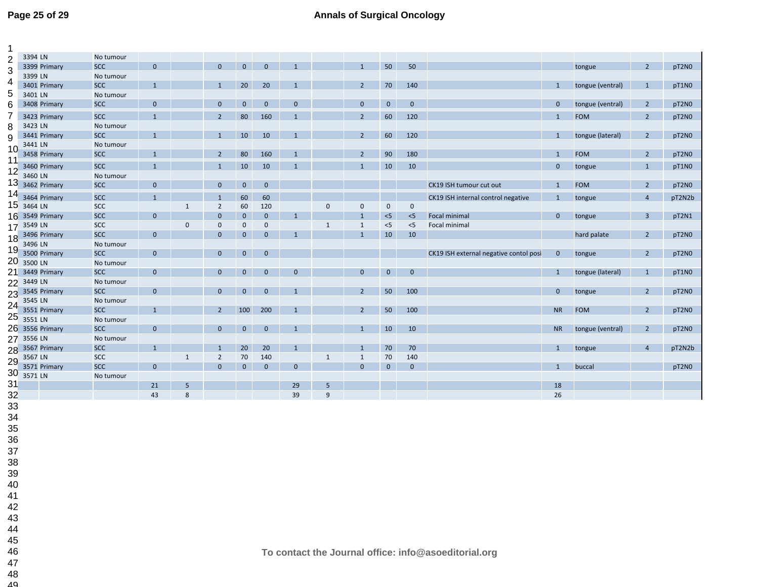# **Annals of Surgical Oncology**

| $\overline{2}$  | 3394 LN                                                  | No tumour  |                |              |                |                |              |                |              |                |                |              |                                        |                |                  |                          |        |
|-----------------|----------------------------------------------------------|------------|----------------|--------------|----------------|----------------|--------------|----------------|--------------|----------------|----------------|--------------|----------------------------------------|----------------|------------------|--------------------------|--------|
| 3               | 3399 Primary                                             | <b>SCC</b> | $\overline{0}$ |              | $\Omega$       | $\mathbf{0}$   | $\Omega$     | $\overline{1}$ |              | $\mathbf{1}$   | 50             | 50           |                                        |                | tongue           | $\overline{2}$           | pT2N0  |
|                 | 3399 LN                                                  | No tumour  |                |              |                |                |              |                |              |                |                |              |                                        |                |                  |                          |        |
| 4               | 3401 Primary                                             | <b>SCC</b> | $\mathbf{1}$   |              | $\mathbf{1}$   | 20             | 20           | -1             |              | $\overline{2}$ | 70             | 140          |                                        |                | tongue (ventral) | $\mathbf{1}$             | pT1N0  |
| 5               | 3401 LN                                                  | No tumour  |                |              |                |                |              |                |              |                |                |              |                                        |                |                  |                          |        |
| 6               | 3408 Primary                                             | <b>SCC</b> | $\mathbf{0}$   |              | $\mathbf{0}$   | $\mathbf{0}$   | $\Omega$     | $\Omega$       |              | $\mathbf{0}$   | $\overline{0}$ | $\mathbf{0}$ |                                        | $\Omega$       | tongue (ventral) | $\overline{2}$           | pT2N0  |
|                 | 3423 Primary                                             | <b>SCC</b> | $\mathbf{1}$   |              | $\overline{2}$ | 80             | 160          |                |              | $\overline{2}$ | 60             | 120          |                                        |                | <b>FOM</b>       | $\overline{2}$           | pT2N0  |
| 8               | 3423 LN                                                  | No tumour  |                |              |                |                |              |                |              |                |                |              |                                        |                |                  |                          |        |
| 9               | 3441 Primary                                             | <b>SCC</b> | $\mathbf{1}$   |              | $\mathbf{1}$   | 10             | 10           |                |              | $\overline{2}$ | 60             | 120          |                                        |                | tongue (lateral) | $\overline{2}$           | pT2N0  |
| 10              | 3441 LN                                                  | No tumour  |                |              |                |                |              |                |              |                |                |              |                                        |                |                  |                          |        |
|                 | 3458 Primary                                             | <b>SCC</b> | $\mathbf{1}$   |              | $\overline{2}$ | 80             | 160          |                |              | $\overline{2}$ | 90             | 180          |                                        |                | <b>FOM</b>       | $\overline{\phantom{0}}$ | pT2N0  |
| 11              | 3460 Primary                                             | <b>SCC</b> |                |              | $\mathbf{1}$   | 10             | 10           |                |              | $\mathbf{1}$   | 10             | 10           |                                        | $\Omega$       | tongue           |                          | pT1N0  |
| 12              | 3460 LN                                                  | No tumour  |                |              |                |                |              |                |              |                |                |              |                                        |                |                  |                          |        |
|                 | 13 3462 Primary                                          | <b>SCC</b> | $\Omega$       |              | $\overline{0}$ | $\overline{0}$ | $\mathbf{0}$ |                |              |                |                |              | CK19 ISH tumour cut out                |                | <b>FOM</b>       | $\overline{\phantom{0}}$ | pT2N0  |
|                 | 14 $\frac{3464}{9}$ Primary                              | <b>SCC</b> |                |              |                | 60             | 60           |                |              |                |                |              | CK19 ISH internal control negative     |                | tongue           | $\boldsymbol{A}$         | pT2N2b |
|                 | 15 3464 LN                                               | SCC        |                | $\mathbf{1}$ | $\overline{2}$ | 60             | 120          |                | 0            | $\mathbf 0$    | $\mathbf 0$    | $\mathbf 0$  |                                        |                |                  |                          |        |
|                 | 16 3549 Primary                                          | <b>SCC</b> | $\overline{0}$ |              | $\mathbf{0}$   | $\mathbf{0}$   | $\mathbf{0}$ | $\mathbf{1}$   |              | $\mathbf{1}$   | < 5            | < 5          | <b>Focal minimal</b>                   | $\mathbf{0}$   | tongue           | 3                        | pT2N1  |
|                 | 17 3549 LN                                               | <b>SCC</b> |                | $\mathbf 0$  | $\mathbf 0$    | $\mathbf 0$    | $\mathbf 0$  |                | $\mathbf{1}$ | $\mathbf{1}$   | $<$ 5          | < 5          | Focal minimal                          |                |                  |                          |        |
|                 | $18 \frac{3496}{21}$ Primary                             | <b>SCC</b> | $\overline{0}$ |              | $\mathbf{0}$   | $\mathbf{0}$   | $\mathbf{0}$ | $\mathbf{1}$   |              | $\mathbf{1}$   | 10             | 10           |                                        |                | hard palate      | $\overline{2}$           | pT2N0  |
|                 | 3496 LN                                                  | No tumour  |                |              |                |                |              |                |              |                |                |              |                                        |                |                  |                          |        |
| 19              | 3500 Primary                                             | <b>SCC</b> | $\mathbf{0}$   |              | $\mathbf{0}$   | $\mathbf{0}$   | $\mathbf{0}$ |                |              |                |                |              | CK19 ISH external negative contol posi | $\mathbf{0}$   | tongue           | $\overline{2}$           | pT2N0  |
|                 | 20 3500 LN                                               | No tumour  |                |              |                |                |              |                |              |                |                |              |                                        |                |                  |                          |        |
|                 | 21 3449 Primary                                          | <b>SCC</b> | $\mathbf{0}$   |              | $\mathbf{0}$   | $\mathbf{0}$   | $\mathbf{0}$ | $\mathbf{0}$   |              | $\mathbf{0}$   | $\mathbf{0}$   | $\mathbf 0$  |                                        | $\mathbf{1}$   | tongue (lateral) | $\mathbf{1}$             | pT1N0  |
|                 | 22 3449 LN                                               | No tumour  |                |              |                |                |              |                |              |                |                |              |                                        |                |                  |                          |        |
|                 | $23 \overline{\smash{\big)}\,^{3545}}$ Primary           | <b>SCC</b> | $\mathbf{0}$   |              | $\overline{0}$ | $\mathbf{0}$   | $\mathbf{0}$ | $\mathbf{1}$   |              | $\overline{2}$ | 50             | 100          |                                        | $\mathbf 0$    | tongue           | $\overline{2}$           | pT2N0  |
|                 | 3545 LN                                                  | No tumour  |                |              |                |                |              |                |              |                |                |              |                                        |                |                  |                          |        |
|                 | 24 3545 LN<br>24 3551 Prin<br>25 3551 LN<br>3551 Primary | <b>SCC</b> | $\mathbf{1}$   |              | $\overline{2}$ | 100            | 200          | $\mathbf{1}$   |              | $\overline{2}$ | 50             | 100          |                                        | <b>NR</b>      | <b>FOM</b>       | $\overline{2}$           | pT2N0  |
|                 |                                                          | No tumour  |                |              |                |                |              |                |              |                |                |              |                                        |                |                  |                          |        |
|                 | 26 3556 Primary                                          | <b>SCC</b> | $\overline{0}$ |              | $\overline{0}$ | $\mathbf{0}$   | $\mathbf{0}$ | $\mathbf{1}$   |              | $\mathbf{1}$   | 10             | 10           |                                        | <b>NR</b>      | tongue (ventral) | $\overline{2}$           | pT2N0  |
|                 | 27 3556 LN                                               | No tumour  |                |              |                |                |              |                |              |                |                |              |                                        |                |                  |                          |        |
|                 | 28 3567 Primary                                          | <b>SCC</b> | $\mathbf{1}$   |              | $\mathbf{1}$   | 20             | 20           | $\mathbf{1}$   |              | $\mathbf{1}$   | 70             | 70           |                                        | $\mathbf{1}$   | tongue           | $\overline{4}$           | pT2N2b |
| 29              | 3567 LN                                                  | SCC        |                | $\mathbf{1}$ | $\overline{2}$ | 70             | 140          |                | $\mathbf{1}$ | $\mathbf{1}$   | 70             | 140          |                                        |                |                  |                          |        |
| 30 <sup>°</sup> | 3571 Primary<br>3571 LN                                  | <b>SCC</b> | $\overline{0}$ |              | $\mathbf{0}$   | $\mathbf 0$    | $\mathbf{0}$ | $\mathbf{0}$   |              | $\mathbf{0}$   | $\mathbf{0}$   | $\mathbf 0$  |                                        | $\overline{1}$ | buccal           |                          | pT2N0  |
| 31              |                                                          | No tumour  |                |              |                |                |              |                |              |                |                |              |                                        |                |                  |                          |        |
|                 |                                                          |            | 21             | 5            |                |                |              | 29             | 5            |                |                |              |                                        | 18             |                  |                          |        |
| 32              |                                                          |            | 43             | 8            |                |                |              | 39             | 9            |                |                |              |                                        | 26             |                  |                          |        |

- 
- 
- 
- 
- 
-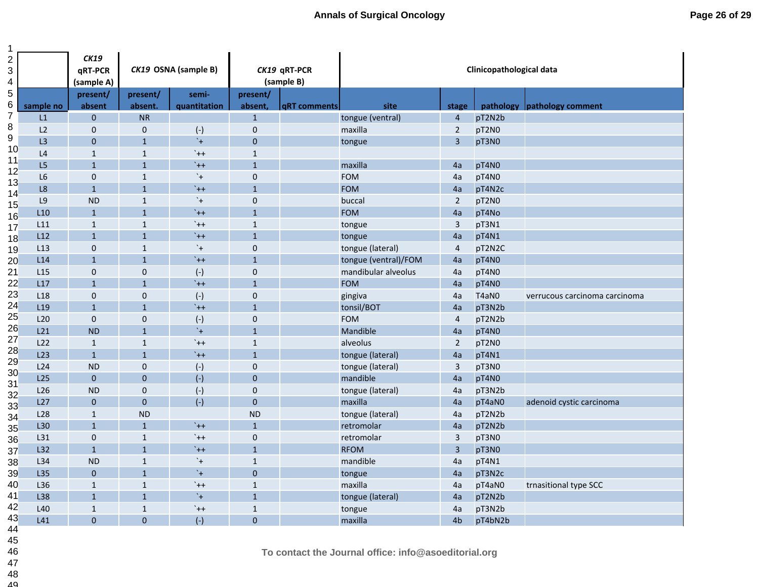| Page 26 of 29 |  |  |  |
|---------------|--|--|--|
|---------------|--|--|--|

| 1<br>$\overline{\mathbf{c}}$<br>3<br>4 |                 | <b>CK19</b><br>qRT-PCR<br>(sample A) |                     | CK19 OSNA (sample B)  |                     | CK19 qRT-PCR<br>(sample B) |                      |                | Clinicopathological data |                               |
|----------------------------------------|-----------------|--------------------------------------|---------------------|-----------------------|---------------------|----------------------------|----------------------|----------------|--------------------------|-------------------------------|
| 5<br>$\overline{6}$                    | sample no       | present/<br>absent                   | present/<br>absent. | semi-<br>quantitation | present/<br>absent, | <b>gRT</b> comments        | site                 | stage          |                          | pathology pathology comment   |
| $\overline{7}$                         | L1              | $\mathbf{0}$                         | <b>NR</b>           |                       | $\mathbf{1}$        |                            | tongue (ventral)     | $\overline{4}$ | pT2N2b                   |                               |
| 8                                      | L2              | $\mathbf 0$                          | $\pmb{0}$           | $(-)$                 | $\mathbf{0}$        |                            | maxilla              | $\overline{2}$ | pT2N0                    |                               |
| 9                                      | L3              | $\mathbf{0}$                         | $\mathbf{1}$        | $\cdot$ +             | $\mathbf{0}$        |                            | tongue               | $\overline{3}$ | pT3N0                    |                               |
| 10                                     | L4              | $\mathbf 1$                          | $\mathbf 1$         | $+$                   | $\mathbf 1$         |                            |                      |                |                          |                               |
| 11                                     | L5              | $\mathbf{1}$                         | $\overline{1}$      | $++$                  | $\mathbf{1}$        |                            | maxilla              | 4a             | pT4N0                    |                               |
| 12                                     | L6              | $\mathbf 0$                          | $\mathbf 1$         | $\cdot$ +             | $\pmb{0}$           |                            | <b>FOM</b>           | 4a             | pT4N0                    |                               |
| 13                                     | L8              | $\mathbf{1}$                         | $\mathbf{1}$        | $++$                  | $\mathbf 1$         |                            | <b>FOM</b>           | 4a             | pT4N2c                   |                               |
| 14                                     | L9              | <b>ND</b>                            | $\mathbf 1$         | $\cdot$               | $\pmb{0}$           |                            | buccal               | $\sqrt{2}$     | pT2N0                    |                               |
| 15<br>16                               | L10             | $\mathbf{1}$                         | $\mathbf 1$         | $++$                  | $\mathbf{1}$        |                            | <b>FOM</b>           | 4a             | pT4No                    |                               |
| 17 <sub>2</sub>                        | L11             | $\mathbf 1$                          | $\mathbf 1$         | $++$                  | $\mathbf 1$         |                            | tongue               | $\overline{3}$ | pT3N1                    |                               |
| 18                                     | L12             | $\mathbf{1}$                         | $\mathbf{1}$        | $++$                  | $\mathbf{1}$        |                            | tongue               | 4a             | pT4N1                    |                               |
| 19                                     | L13             | $\boldsymbol{0}$                     | $\mathbf 1$         | $\cdot$ +             | $\pmb{0}$           |                            | tongue (lateral)     | $\overline{4}$ | pT2N2C                   |                               |
| 20                                     | L14             | $\mathbf{1}$                         | $\mathbf{1}$        | $++$                  | $\mathbf{1}$        |                            | tongue (ventral)/FOM | 4a             | pT4N0                    |                               |
| 21                                     | L15             | $\pmb{0}$                            | $\pmb{0}$           | $(-)$                 | $\pmb{0}$           |                            | mandibular alveolus  | 4a             | pT4N0                    |                               |
| 22                                     | L17             | $\mathbf{1}$                         | $\mathbf{1}$        | $++$                  | $\mathbf{1}$        |                            | <b>FOM</b>           | 4a             | pT4N0                    |                               |
| 23                                     | L <sub>18</sub> | $\pmb{0}$                            | $\pmb{0}$           | $(-)$                 | $\pmb{0}$           |                            | gingiva              | 4a             | T4aN0                    | verrucous carcinoma carcinoma |
| 24                                     | L <sub>19</sub> | $\mathbf{1}$                         | $\mathbf{1}$        | $++$                  | $\mathbf{1}$        |                            | tonsil/BOT           | 4a             | pT3N2b                   |                               |
| 25                                     | L20             | $\mathbf 0$                          | $\mathbf{0}$        | $(-)$                 | $\pmb{0}$           |                            | <b>FOM</b>           | $\overline{4}$ | pT2N2b                   |                               |
| 26                                     | L21             | <b>ND</b>                            | $\mathbf{1}$        | $\cdot$ +             | $\mathbf{1}$        |                            | Mandible             | 4a             | pT4N0                    |                               |
| 27                                     | L22             | $\mathbf{1}$                         | $\mathbf{1}$        | $+$                   | $\mathbf{1}$        |                            | alveolus             | $\overline{2}$ | pT2N0                    |                               |
| 28                                     | L <sub>23</sub> | $\mathbf{1}$                         | $\mathbf{1}$        | $++$                  | $\mathbf{1}$        |                            | tongue (lateral)     | 4a             | pT4N1                    |                               |
| 29                                     | L24             | <b>ND</b>                            | $\mathbf 0$         | $(-)$                 | $\mathbf 0$         |                            | tongue (lateral)     | $\overline{3}$ | pT3N0                    |                               |
| 30<br>31                               | L25             | $\overline{0}$                       | $\mathbf{0}$        | $(-)$                 | $\mathbf{0}$        |                            | mandible             | 4a             | pT4N0                    |                               |
| 32                                     | L26             | <b>ND</b>                            | $\mathbf 0$         | $(-)$                 | $\mathbf 0$         |                            | tongue (lateral)     | 4a             | pT3N2b                   |                               |
| 33                                     | L27             | $\mathbf 0$                          | $\overline{0}$      | $(-)$                 | $\mathbf 0$         |                            | maxilla              | 4a             | pT4aN0                   | adenoid cystic carcinoma      |
| 34                                     | L <sub>28</sub> | $\mathbf{1}$                         | <b>ND</b>           |                       | <b>ND</b>           |                            | tongue (lateral)     | 4a             | pT2N2b                   |                               |
| 35                                     | L <sub>30</sub> | $\mathbf{1}$                         | $\mathbf{1}$        | $+$                   | $\mathbf{1}$        |                            | retromolar           | 4a             | pT2N2b                   |                               |
| 36                                     | L31             | $\mathbf 0$                          | $\mathbf{1}$        | $++$                  | $\pmb{0}$           |                            | retromolar           | $\overline{3}$ | pT3N0                    |                               |
| 37                                     | L32             | $\mathbf{1}$                         | $\mathbf{1}$        | $+$                   | $\mathbf{1}$        |                            | <b>RFOM</b>          | $\overline{3}$ | pT3N0                    |                               |
| 38                                     | L34             | <b>ND</b>                            | $\mathbf 1$         | $\cdot$ +             | $\mathbf{1}$        |                            | mandible             | 4a             | pT4N1                    |                               |
| 39                                     | L <sub>35</sub> | $\pmb{0}$                            | $\mathbf{1}$        | $\cdot$ +             | $\mathbf{0}$        |                            | tongue               | 4a             | pT3N2c                   |                               |
| 40                                     | L36             | $\mathbf{1}$                         | $\mathbf{1}$        | $+$ +                 | $\mathbf{1}$        |                            | maxilla              | 4a             | pT4aN0                   | trnasitional type SCC         |
| 41                                     | L38             | $\mathbf{1}$                         | $\mathbf{1}$        | $\cdot$ +             | $\mathbf 1$         |                            | tongue (lateral)     | 4a             | pT2N2b                   |                               |
| 42                                     | L <sub>40</sub> | $\mathbf{1}$                         | $\mathbf 1$         | $++$                  | $\mathbf{1}$        |                            | tongue               | 4a             | pT3N2b                   |                               |
| 43<br>44                               | L41             | $\Omega$                             | $\Omega$            | $(-)$                 | $\Omega$            |                            | maxilla              | 4 <sub>b</sub> | pT4bN2b                  |                               |

 4546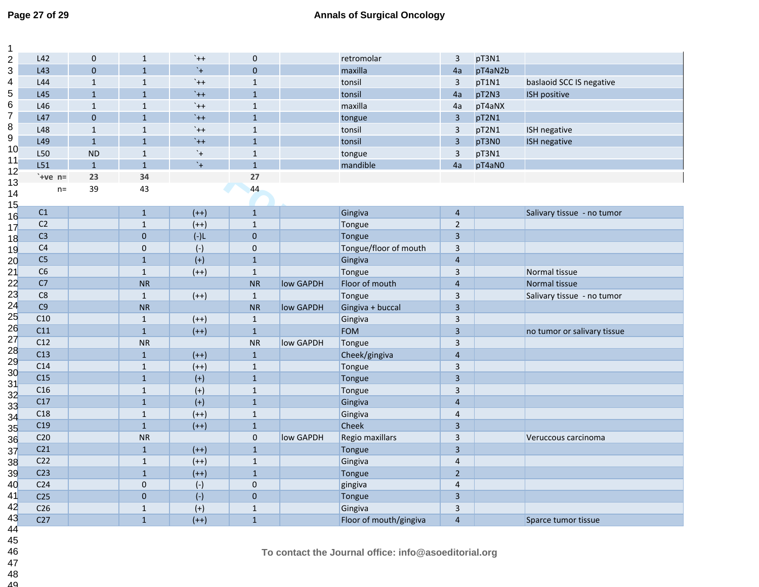# **Annals of Surgical Oncology**

| $\mathbf{1}$   |                 |              |                |               |                |           |                        |                         |         |                             |
|----------------|-----------------|--------------|----------------|---------------|----------------|-----------|------------------------|-------------------------|---------|-----------------------------|
| $\sqrt{2}$     | L42             | $\mathbf{0}$ | $\mathbf{1}$   | $^{\text{-}}$ | $\mathbf{0}$   |           | retromolar             | 3                       | pT3N1   |                             |
| 3              | L43             | $\mathbf{0}$ | $\mathbf{1}$   | $^{\prime}$   | $\Omega$       |           | maxilla                | 4a                      | pT4aN2b |                             |
| 4              | L44             | $\mathbf{1}$ | $\mathbf{1}$   | $++$          | $\mathbf{1}$   |           | tonsil                 | 3                       | pT1N1   | baslaoid SCC IS negative    |
| 5              | L45             | $\mathbf{1}$ | $\mathbf{1}$   | $+$ +         | $\mathbf{1}$   |           | tonsil                 | 4a                      | pT2N3   | <b>ISH positive</b>         |
| 6              | L46             | $\mathbf{1}$ | $\mathbf{1}$   | $+$           | $\mathbf{1}$   |           | maxilla                | 4a                      | pT4aNX  |                             |
| $\overline{7}$ | L47             | $\Omega$     | $\mathbf{1}$   | $++$          | $\mathbf{1}$   |           | tongue                 | $\overline{3}$          | pT2N1   |                             |
| 8              | L48             | $\mathbf{1}$ | $\mathbf{1}$   | $+$ +         | $1\,$          |           | tonsil                 | 3                       | pT2N1   | ISH negative                |
| 9              | L49             | $\mathbf{1}$ | $\overline{1}$ | $++$          | $\mathbf{1}$   |           | tonsil                 | $\overline{3}$          | pT3N0   | ISH negative                |
| 10             | L50             | <b>ND</b>    | $\mathbf 1$    | $\cdot_+$     | $\,1\,$        |           | tongue                 | $\mathsf 3$             | pT3N1   |                             |
| 11<br>12       | L51             | $\mathbf 1$  | $\overline{1}$ | $\ddot{}$     | $\overline{1}$ |           | mandible               | 4a                      | pT4aN0  |                             |
| 13             | $`+ve$ n=       | 23           | 34             |               | 27             |           |                        |                         |         |                             |
| 14             | $n=$            | 39           | 43             |               | 44             |           |                        |                         |         |                             |
| 15             |                 |              |                |               |                |           |                        |                         |         |                             |
| 16             | C1              |              | $\mathbf{1}$   | $(++)$        | $\mathbf 1$    |           | Gingiva                | $\overline{4}$          |         | Salivary tissue - no tumor  |
| 17             | C <sub>2</sub>  |              | $\mathbf{1}$   | $(++)$        | $\mathbf 1$    |           | Tongue                 | $\overline{2}$          |         |                             |
| 18             | C <sub>3</sub>  |              | $\mathbf 0$    | $(-)$ L       | $\mathbf 0$    |           | Tongue                 | $\overline{3}$          |         |                             |
| 19             | C <sub>4</sub>  |              | $\mathbf{0}$   | $(-)$         | $\mathbf{0}$   |           | Tongue/floor of mouth  | 3                       |         |                             |
| 20             | C <sub>5</sub>  |              | $\mathbf 1$    | $(+)$         | $\mathbf 1$    |           | Gingiva                | $\overline{4}$          |         |                             |
| 21             | C6              |              | $\mathbf{1}$   | $(++)$        | $\mathbf{1}$   |           | Tongue                 | 3                       |         | Normal tissue               |
| 22             | C <sub>7</sub>  |              | <b>NR</b>      |               | <b>NR</b>      | low GAPDH | Floor of mouth         | $\sqrt{4}$              |         | Normal tissue               |
| 23             | C <sub>8</sub>  |              | $\mathbf{1}$   | $(++)$        | $\mathbf{1}$   |           | Tongue                 | $\overline{3}$          |         | Salivary tissue - no tumor  |
| 24             | C9              |              | <b>NR</b>      |               | <b>NR</b>      | low GAPDH | Gingiva + buccal       | $\overline{\mathbf{3}}$ |         |                             |
| 25             | C10             |              | $\mathbf{1}$   | $(++)$        | $\mathbf{1}$   |           | Gingiva                | $\overline{3}$          |         |                             |
| 26             | C11             |              | $\mathbf{1}$   | $(++)$        | $\mathbf{1}$   |           | FOM                    | $\overline{3}$          |         | no tumor or salivary tissue |
| 27             | C12             |              | <b>NR</b>      |               | <b>NR</b>      | low GAPDH | Tongue                 | $\overline{3}$          |         |                             |
| 28<br>29       | C13             |              | $\mathbf{1}$   | $(++)$        | $\mathbf{1}$   |           | Cheek/gingiva          | $\overline{4}$          |         |                             |
| 30             | C14             |              | $\mathbf{1}$   | $(++)$        | $\mathbf{1}$   |           | Tongue                 | 3                       |         |                             |
| 31             | C15             |              | $\mathbf 1$    | $(+)$         | $\mathbf 1$    |           | Tongue                 | $\overline{\mathbf{3}}$ |         |                             |
| 32             | C16             |              | $\mathbf{1}$   | $(+)$         | $\mathbf 1$    |           | Tongue                 | $\mathsf 3$             |         |                             |
| 33             | C17             |              | $\mathbf{1}$   | $(+)$         | $\mathbf 1$    |           | Gingiva                | $\overline{4}$          |         |                             |
| 34             | C18             |              | $\mathbf{1}$   | $(++)$        | $\mathbf 1$    |           | Gingiva                | $\overline{4}$          |         |                             |
| 35             | C19             |              | $\mathbf{1}$   | $(++)$        | $\mathbf{1}$   |           | Cheek                  | $\overline{3}$          |         |                             |
| 36             | C <sub>20</sub> |              | <b>NR</b>      |               | $\pmb{0}$      | low GAPDH | Regio maxillars        | $\overline{3}$          |         | Veruccous carcinoma         |
| 37             | C <sub>21</sub> |              | $\mathbf{1}$   | $(++)$        | $\mathbf 1$    |           | Tongue                 | 3                       |         |                             |
| 38             | C <sub>22</sub> |              | $\mathbf{1}$   | $(++)$        | $\mathbf{1}$   |           | Gingiva                | $\overline{4}$          |         |                             |
| 39             | C <sub>23</sub> |              | $1\,$          | $(++)$        | $\mathbf{1}$   |           | Tongue                 | $\overline{2}$          |         |                             |
| 40             | C <sub>24</sub> |              | $\mathbf{0}$   | $(-)$         | $\mathbf 0$    |           | gingiva                | $\overline{4}$          |         |                             |
| 41             | C <sub>25</sub> |              | $\bf 0$        | $(-)$         | $\mathbf 0$    |           | Tongue                 | 3                       |         |                             |
| 42             | C <sub>26</sub> |              | $\mathbf{1}$   | $(+)$         | $\mathbf 1$    |           | Gingiva                | $\overline{3}$          |         |                             |
| 43             | C <sub>27</sub> |              | $\mathbf{1}$   | $(++)$        | $\mathbf{1}$   |           | Floor of mouth/gingiva | $\overline{4}$          |         | Sparce tumor tissue         |
| 44             |                 |              |                |               |                |           |                        |                         |         |                             |

**To contact the Journal office: info@asoeditorial.org**

 4748

 4546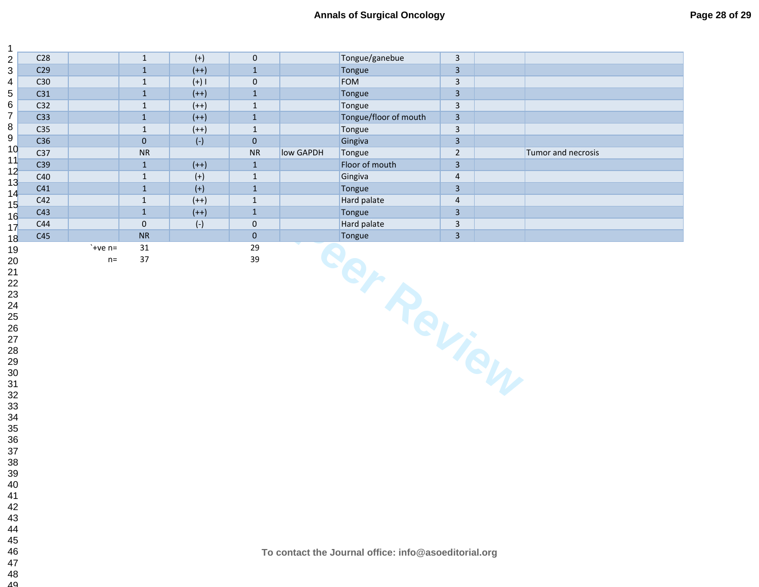| Page 28 of 29 |  |  |  |
|---------------|--|--|--|
|---------------|--|--|--|

| 1              |                 |           |              |        |              |           |                       |                |                    |
|----------------|-----------------|-----------|--------------|--------|--------------|-----------|-----------------------|----------------|--------------------|
| $\overline{c}$ | C <sub>28</sub> |           | $\mathbf{1}$ | $(+)$  | $\mathbf 0$  |           | Tongue/ganebue        | $\overline{3}$ |                    |
| 3              | C <sub>29</sub> |           | $\mathbf{1}$ | $(++)$ | $\mathbf{1}$ |           | Tongue                | $\overline{3}$ |                    |
| 4              | C30             |           | $1\,$        | $(+)$  | $\mathbf 0$  |           | <b>FOM</b>            | $\overline{3}$ |                    |
| 5              | C31             |           | $\mathbf{1}$ | $(++)$ | $\mathbf{1}$ |           | Tongue                | $\overline{3}$ |                    |
| 6              | C32             |           | $\mathbf{1}$ | $(++)$ | $\mathbf{1}$ |           | Tongue                | $\overline{3}$ |                    |
| $\overline{7}$ | C <sub>33</sub> |           | $\mathbf{1}$ | $(++)$ | $\mathbf{1}$ |           | Tongue/floor of mouth | $\overline{3}$ |                    |
| 8              | C <sub>35</sub> |           | $\mathbf{1}$ | $(++)$ | $\mathbf{1}$ |           | Tongue                | $\overline{3}$ |                    |
| 9              | C <sub>36</sub> |           | $\mathbf{0}$ | $(-)$  | $\mathbf{0}$ |           | Gingiva               | $\overline{3}$ |                    |
| 10             | C <sub>37</sub> |           | <b>NR</b>    |        | <b>NR</b>    | low GAPDH | Tongue                | $\overline{2}$ | Tumor and necrosis |
| 11             | C39             |           | $\mathbf{1}$ | $(++)$ | $\mathbf{1}$ |           | Floor of mouth        | $\overline{3}$ |                    |
| 12<br>13       | C40             |           | $\mathbf{1}$ | $(+)$  | $\mathbf{1}$ |           | Gingiva               | $\overline{4}$ |                    |
| 14             | C41             |           | $\mathbf{1}$ | $(+)$  | $1\,$        |           | Tongue                | $\overline{3}$ |                    |
| 15             | C42             |           | $\mathbf{1}$ | $(++)$ | $\mathbf{1}$ |           | Hard palate           | $\overline{4}$ |                    |
| 16             | C43             |           | $\mathbf{1}$ | $(++)$ | $\mathbf{1}$ |           | Tongue                | $\overline{3}$ |                    |
| 17             | C44             |           | $\mathbf 0$  | $(-)$  | $\mathbf 0$  |           | Hard palate           | $\overline{3}$ |                    |
| 18             | C45             |           | <b>NR</b>    |        | $\mathbf{0}$ |           |                       |                |                    |
| 19             |                 | $`+ve$ n= | 31           |        | 29           |           |                       |                |                    |
| 20             |                 | $n=$      | 37           |        | 39           |           |                       |                |                    |
| 21             |                 |           |              |        |              |           |                       |                |                    |
| 22             |                 |           |              |        |              |           |                       |                |                    |
| 23             |                 |           |              |        |              |           |                       |                |                    |
| 24             |                 |           |              |        |              |           |                       |                |                    |
| 25             |                 |           |              |        |              |           | Tongue Tongue         |                |                    |
| 26             |                 |           |              |        |              |           |                       |                |                    |
| 27             |                 |           |              |        |              |           |                       |                |                    |
| 28             |                 |           |              |        |              |           |                       |                |                    |
| 29             |                 |           |              |        |              |           |                       |                |                    |
| 30             |                 |           |              |        |              |           |                       |                |                    |
| 31<br>32       |                 |           |              |        |              |           |                       |                |                    |
|                |                 |           |              |        |              |           |                       |                |                    |

**To contact the Journal office: info@asoeditorial.org**